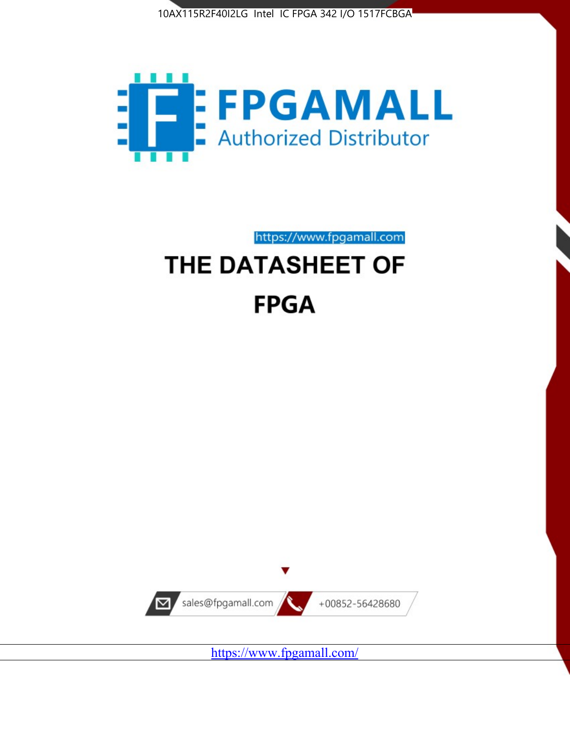



https://www.fpgamall.com

# THE DATASHEET OF **FPGA**



<https://www.fpgamall.com/>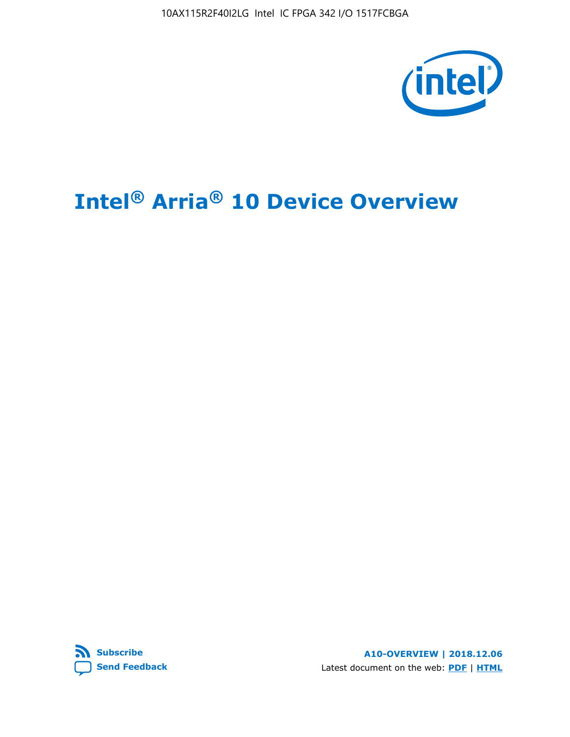10AX115R2F40I2LG Intel IC FPGA 342 I/O 1517FCBGA



# **Intel® Arria® 10 Device Overview**



**A10-OVERVIEW | 2018.12.06** Latest document on the web: **[PDF](https://www.intel.com/content/dam/www/programmable/us/en/pdfs/literature/hb/arria-10/a10_overview.pdf)** | **[HTML](https://www.intel.com/content/www/us/en/programmable/documentation/sam1403480274650.html)**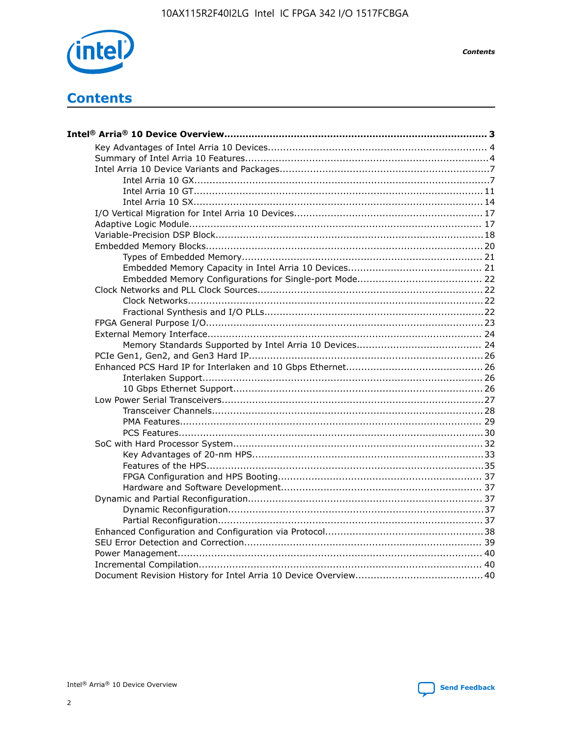

**Contents** 

# **Contents**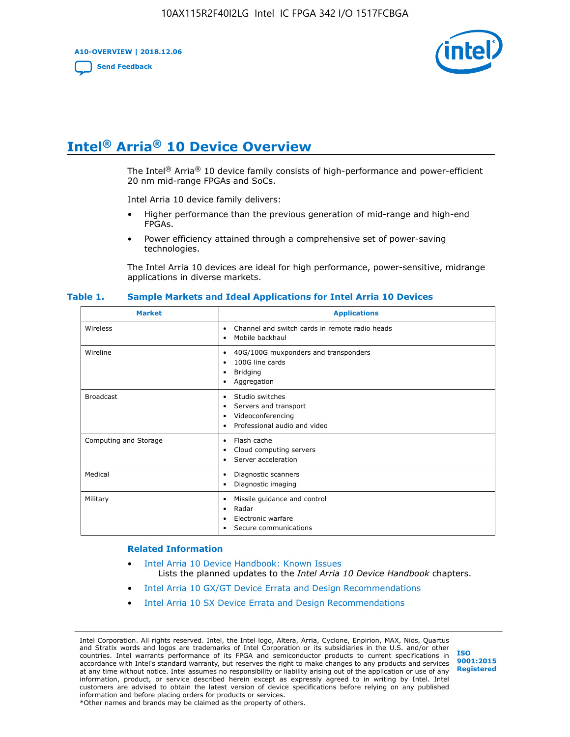**A10-OVERVIEW | 2018.12.06**

**[Send Feedback](mailto:FPGAtechdocfeedback@intel.com?subject=Feedback%20on%20Intel%20Arria%2010%20Device%20Overview%20(A10-OVERVIEW%202018.12.06)&body=We%20appreciate%20your%20feedback.%20In%20your%20comments,%20also%20specify%20the%20page%20number%20or%20paragraph.%20Thank%20you.)**



# **Intel® Arria® 10 Device Overview**

The Intel<sup>®</sup> Arria<sup>®</sup> 10 device family consists of high-performance and power-efficient 20 nm mid-range FPGAs and SoCs.

Intel Arria 10 device family delivers:

- Higher performance than the previous generation of mid-range and high-end FPGAs.
- Power efficiency attained through a comprehensive set of power-saving technologies.

The Intel Arria 10 devices are ideal for high performance, power-sensitive, midrange applications in diverse markets.

| <b>Market</b>         | <b>Applications</b>                                                                                               |
|-----------------------|-------------------------------------------------------------------------------------------------------------------|
| Wireless              | Channel and switch cards in remote radio heads<br>٠<br>Mobile backhaul<br>٠                                       |
| Wireline              | 40G/100G muxponders and transponders<br>٠<br>100G line cards<br>٠<br><b>Bridging</b><br>٠<br>Aggregation<br>٠     |
| <b>Broadcast</b>      | Studio switches<br>٠<br>Servers and transport<br>٠<br>Videoconferencing<br>٠<br>Professional audio and video<br>٠ |
| Computing and Storage | Flash cache<br>٠<br>Cloud computing servers<br>٠<br>Server acceleration<br>٠                                      |
| Medical               | Diagnostic scanners<br>٠<br>Diagnostic imaging<br>٠                                                               |
| Military              | Missile guidance and control<br>٠<br>Radar<br>٠<br>Electronic warfare<br>٠<br>Secure communications<br>٠          |

#### **Table 1. Sample Markets and Ideal Applications for Intel Arria 10 Devices**

#### **Related Information**

- [Intel Arria 10 Device Handbook: Known Issues](http://www.altera.com/support/kdb/solutions/rd07302013_646.html) Lists the planned updates to the *Intel Arria 10 Device Handbook* chapters.
- [Intel Arria 10 GX/GT Device Errata and Design Recommendations](https://www.intel.com/content/www/us/en/programmable/documentation/agz1493851706374.html#yqz1494433888646)
- [Intel Arria 10 SX Device Errata and Design Recommendations](https://www.intel.com/content/www/us/en/programmable/documentation/cru1462832385668.html#cru1462832558642)

Intel Corporation. All rights reserved. Intel, the Intel logo, Altera, Arria, Cyclone, Enpirion, MAX, Nios, Quartus and Stratix words and logos are trademarks of Intel Corporation or its subsidiaries in the U.S. and/or other countries. Intel warrants performance of its FPGA and semiconductor products to current specifications in accordance with Intel's standard warranty, but reserves the right to make changes to any products and services at any time without notice. Intel assumes no responsibility or liability arising out of the application or use of any information, product, or service described herein except as expressly agreed to in writing by Intel. Intel customers are advised to obtain the latest version of device specifications before relying on any published information and before placing orders for products or services. \*Other names and brands may be claimed as the property of others.

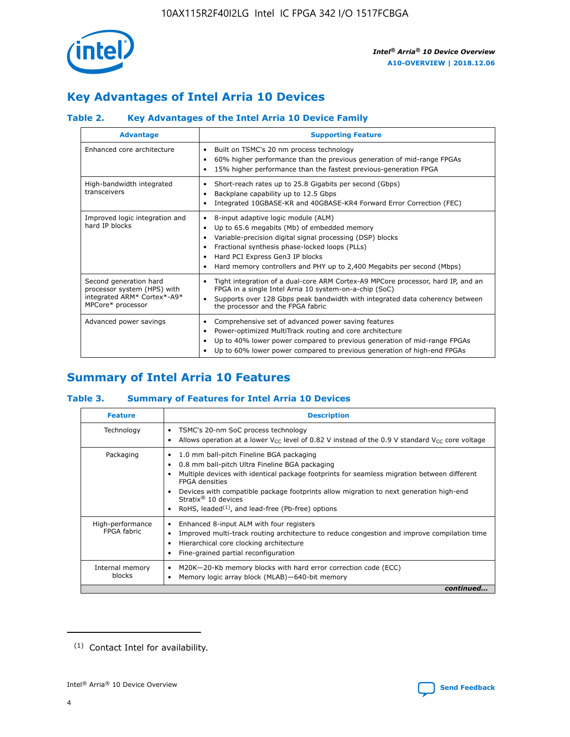

# **Key Advantages of Intel Arria 10 Devices**

# **Table 2. Key Advantages of the Intel Arria 10 Device Family**

| <b>Advantage</b>                                                                                          | <b>Supporting Feature</b>                                                                                                                                                                                                                                                                                                |  |  |  |  |  |
|-----------------------------------------------------------------------------------------------------------|--------------------------------------------------------------------------------------------------------------------------------------------------------------------------------------------------------------------------------------------------------------------------------------------------------------------------|--|--|--|--|--|
| Enhanced core architecture                                                                                | Built on TSMC's 20 nm process technology<br>٠<br>60% higher performance than the previous generation of mid-range FPGAs<br>٠<br>15% higher performance than the fastest previous-generation FPGA<br>٠                                                                                                                    |  |  |  |  |  |
| High-bandwidth integrated<br>transceivers                                                                 | Short-reach rates up to 25.8 Gigabits per second (Gbps)<br>٠<br>Backplane capability up to 12.5 Gbps<br>٠<br>Integrated 10GBASE-KR and 40GBASE-KR4 Forward Error Correction (FEC)<br>٠                                                                                                                                   |  |  |  |  |  |
| Improved logic integration and<br>hard IP blocks                                                          | 8-input adaptive logic module (ALM)<br>٠<br>Up to 65.6 megabits (Mb) of embedded memory<br>٠<br>Variable-precision digital signal processing (DSP) blocks<br>Fractional synthesis phase-locked loops (PLLs)<br>Hard PCI Express Gen3 IP blocks<br>Hard memory controllers and PHY up to 2,400 Megabits per second (Mbps) |  |  |  |  |  |
| Second generation hard<br>processor system (HPS) with<br>integrated ARM* Cortex*-A9*<br>MPCore* processor | Tight integration of a dual-core ARM Cortex-A9 MPCore processor, hard IP, and an<br>٠<br>FPGA in a single Intel Arria 10 system-on-a-chip (SoC)<br>Supports over 128 Gbps peak bandwidth with integrated data coherency between<br>$\bullet$<br>the processor and the FPGA fabric                                        |  |  |  |  |  |
| Advanced power savings                                                                                    | Comprehensive set of advanced power saving features<br>٠<br>Power-optimized MultiTrack routing and core architecture<br>٠<br>Up to 40% lower power compared to previous generation of mid-range FPGAs<br>٠<br>Up to 60% lower power compared to previous generation of high-end FPGAs                                    |  |  |  |  |  |

# **Summary of Intel Arria 10 Features**

## **Table 3. Summary of Features for Intel Arria 10 Devices**

| <b>Feature</b>                  | <b>Description</b>                                                                                                                                                                                                                                                                                                                                                                                 |
|---------------------------------|----------------------------------------------------------------------------------------------------------------------------------------------------------------------------------------------------------------------------------------------------------------------------------------------------------------------------------------------------------------------------------------------------|
| Technology                      | TSMC's 20-nm SoC process technology<br>Allows operation at a lower $V_{\text{CC}}$ level of 0.82 V instead of the 0.9 V standard $V_{\text{CC}}$ core voltage                                                                                                                                                                                                                                      |
| Packaging                       | 1.0 mm ball-pitch Fineline BGA packaging<br>٠<br>0.8 mm ball-pitch Ultra Fineline BGA packaging<br>Multiple devices with identical package footprints for seamless migration between different<br><b>FPGA</b> densities<br>Devices with compatible package footprints allow migration to next generation high-end<br>Stratix $@10$ devices<br>RoHS, leaded $(1)$ , and lead-free (Pb-free) options |
| High-performance<br>FPGA fabric | Enhanced 8-input ALM with four registers<br>Improved multi-track routing architecture to reduce congestion and improve compilation time<br>Hierarchical core clocking architecture<br>Fine-grained partial reconfiguration                                                                                                                                                                         |
| Internal memory<br>blocks       | M20K-20-Kb memory blocks with hard error correction code (ECC)<br>Memory logic array block (MLAB)-640-bit memory                                                                                                                                                                                                                                                                                   |
|                                 | continued                                                                                                                                                                                                                                                                                                                                                                                          |



<sup>(1)</sup> Contact Intel for availability.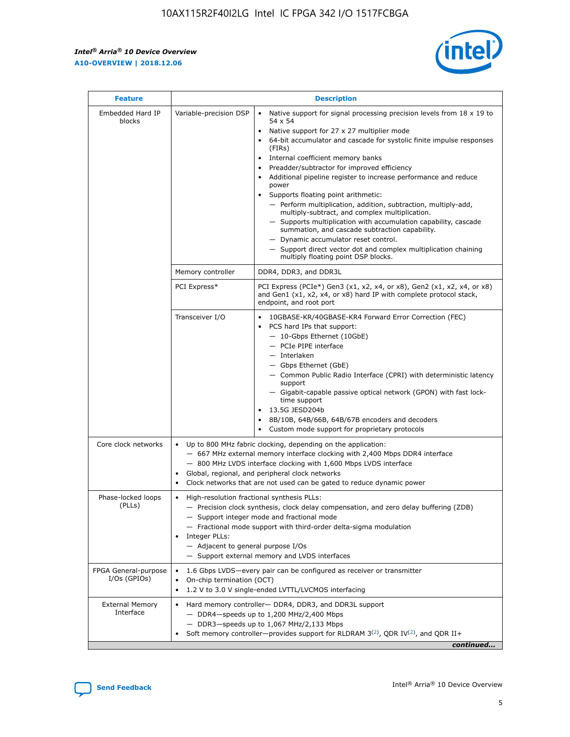$\mathsf{r}$ 



| <b>Feature</b>                         |                                                                                                                | <b>Description</b>                                                                                                                                                                                                                                                                                                                                                                                                                                                                                                                                                                                                                                                                                                                                                                                                                     |
|----------------------------------------|----------------------------------------------------------------------------------------------------------------|----------------------------------------------------------------------------------------------------------------------------------------------------------------------------------------------------------------------------------------------------------------------------------------------------------------------------------------------------------------------------------------------------------------------------------------------------------------------------------------------------------------------------------------------------------------------------------------------------------------------------------------------------------------------------------------------------------------------------------------------------------------------------------------------------------------------------------------|
| Embedded Hard IP<br>blocks             | Variable-precision DSP                                                                                         | Native support for signal processing precision levels from $18 \times 19$ to<br>54 x 54<br>Native support for 27 x 27 multiplier mode<br>64-bit accumulator and cascade for systolic finite impulse responses<br>(FIRs)<br>Internal coefficient memory banks<br>$\bullet$<br>Preadder/subtractor for improved efficiency<br>Additional pipeline register to increase performance and reduce<br>power<br>Supports floating point arithmetic:<br>- Perform multiplication, addition, subtraction, multiply-add,<br>multiply-subtract, and complex multiplication.<br>- Supports multiplication with accumulation capability, cascade<br>summation, and cascade subtraction capability.<br>- Dynamic accumulator reset control.<br>- Support direct vector dot and complex multiplication chaining<br>multiply floating point DSP blocks. |
|                                        | Memory controller                                                                                              | DDR4, DDR3, and DDR3L                                                                                                                                                                                                                                                                                                                                                                                                                                                                                                                                                                                                                                                                                                                                                                                                                  |
|                                        | PCI Express*                                                                                                   | PCI Express (PCIe*) Gen3 (x1, x2, x4, or x8), Gen2 (x1, x2, x4, or x8)<br>and Gen1 (x1, x2, x4, or x8) hard IP with complete protocol stack,<br>endpoint, and root port                                                                                                                                                                                                                                                                                                                                                                                                                                                                                                                                                                                                                                                                |
|                                        | Transceiver I/O                                                                                                | 10GBASE-KR/40GBASE-KR4 Forward Error Correction (FEC)<br>PCS hard IPs that support:<br>$\bullet$<br>- 10-Gbps Ethernet (10GbE)<br>- PCIe PIPE interface<br>$-$ Interlaken<br>- Gbps Ethernet (GbE)<br>- Common Public Radio Interface (CPRI) with deterministic latency<br>support<br>- Gigabit-capable passive optical network (GPON) with fast lock-<br>time support<br>13.5G JESD204b<br>$\bullet$<br>8B/10B, 64B/66B, 64B/67B encoders and decoders<br>Custom mode support for proprietary protocols                                                                                                                                                                                                                                                                                                                               |
| Core clock networks                    | $\bullet$<br>$\bullet$                                                                                         | Up to 800 MHz fabric clocking, depending on the application:<br>- 667 MHz external memory interface clocking with 2,400 Mbps DDR4 interface<br>- 800 MHz LVDS interface clocking with 1,600 Mbps LVDS interface<br>Global, regional, and peripheral clock networks<br>Clock networks that are not used can be gated to reduce dynamic power                                                                                                                                                                                                                                                                                                                                                                                                                                                                                            |
| Phase-locked loops<br>(PLLs)           | High-resolution fractional synthesis PLLs:<br>$\bullet$<br>Integer PLLs:<br>- Adjacent to general purpose I/Os | - Precision clock synthesis, clock delay compensation, and zero delay buffering (ZDB)<br>- Support integer mode and fractional mode<br>- Fractional mode support with third-order delta-sigma modulation<br>- Support external memory and LVDS interfaces                                                                                                                                                                                                                                                                                                                                                                                                                                                                                                                                                                              |
| FPGA General-purpose<br>$I/Os$ (GPIOs) | On-chip termination (OCT)                                                                                      | 1.6 Gbps LVDS-every pair can be configured as receiver or transmitter<br>1.2 V to 3.0 V single-ended LVTTL/LVCMOS interfacing                                                                                                                                                                                                                                                                                                                                                                                                                                                                                                                                                                                                                                                                                                          |
| <b>External Memory</b><br>Interface    |                                                                                                                | Hard memory controller- DDR4, DDR3, and DDR3L support<br>$-$ DDR4 $-$ speeds up to 1,200 MHz/2,400 Mbps<br>- DDR3-speeds up to 1,067 MHz/2,133 Mbps<br>Soft memory controller—provides support for RLDRAM $3^{(2)}$ , QDR IV $^{(2)}$ , and QDR II+<br>continued                                                                                                                                                                                                                                                                                                                                                                                                                                                                                                                                                                       |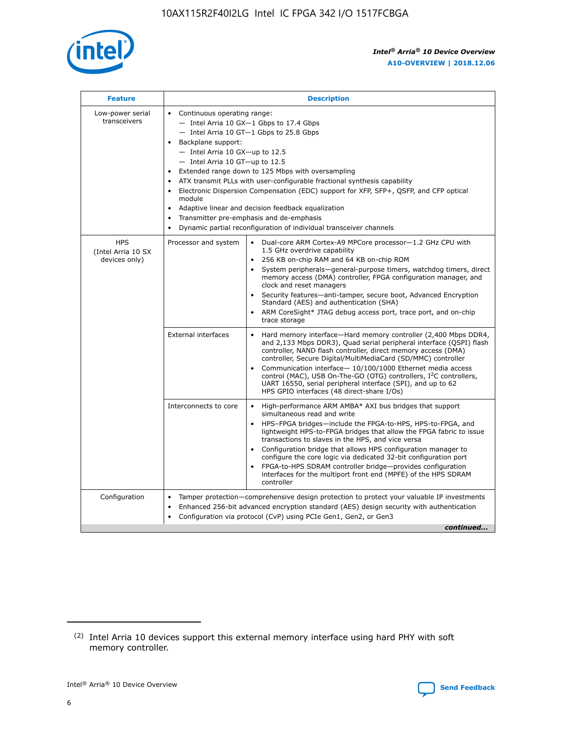

| <b>Feature</b>                                    | <b>Description</b>                                                                                                                                                                                                                                                                                                                                                                                                                                                                                                                                                                                                                                      |
|---------------------------------------------------|---------------------------------------------------------------------------------------------------------------------------------------------------------------------------------------------------------------------------------------------------------------------------------------------------------------------------------------------------------------------------------------------------------------------------------------------------------------------------------------------------------------------------------------------------------------------------------------------------------------------------------------------------------|
| Low-power serial<br>transceivers                  | • Continuous operating range:<br>- Intel Arria 10 GX-1 Gbps to 17.4 Gbps<br>- Intel Arria 10 GT-1 Gbps to 25.8 Gbps<br>Backplane support:<br>$-$ Intel Arria 10 GX-up to 12.5<br>- Intel Arria 10 GT-up to 12.5<br>Extended range down to 125 Mbps with oversampling<br>ATX transmit PLLs with user-configurable fractional synthesis capability<br>• Electronic Dispersion Compensation (EDC) support for XFP, SFP+, QSFP, and CFP optical<br>module<br>Adaptive linear and decision feedback equalization<br>$\bullet$<br>Transmitter pre-emphasis and de-emphasis<br>$\bullet$<br>Dynamic partial reconfiguration of individual transceiver channels |
| <b>HPS</b><br>(Intel Arria 10 SX<br>devices only) | Processor and system<br>Dual-core ARM Cortex-A9 MPCore processor-1.2 GHz CPU with<br>$\bullet$<br>1.5 GHz overdrive capability<br>• 256 KB on-chip RAM and 64 KB on-chip ROM<br>System peripherals-general-purpose timers, watchdog timers, direct<br>memory access (DMA) controller, FPGA configuration manager, and<br>clock and reset managers<br>• Security features—anti-tamper, secure boot, Advanced Encryption<br>Standard (AES) and authentication (SHA)<br>ARM CoreSight* JTAG debug access port, trace port, and on-chip<br>trace storage                                                                                                    |
|                                                   | <b>External interfaces</b><br>Hard memory interface—Hard memory controller (2,400 Mbps DDR4,<br>$\bullet$<br>and 2,133 Mbps DDR3), Quad serial peripheral interface (QSPI) flash<br>controller, NAND flash controller, direct memory access (DMA)<br>controller, Secure Digital/MultiMediaCard (SD/MMC) controller<br>Communication interface-10/100/1000 Ethernet media access<br>control (MAC), USB On-The-GO (OTG) controllers, I <sup>2</sup> C controllers,<br>UART 16550, serial peripheral interface (SPI), and up to 62<br>HPS GPIO interfaces (48 direct-share I/Os)                                                                           |
|                                                   | High-performance ARM AMBA* AXI bus bridges that support<br>Interconnects to core<br>$\bullet$<br>simultaneous read and write<br>HPS-FPGA bridges—include the FPGA-to-HPS, HPS-to-FPGA, and<br>lightweight HPS-to-FPGA bridges that allow the FPGA fabric to issue<br>transactions to slaves in the HPS, and vice versa<br>Configuration bridge that allows HPS configuration manager to<br>configure the core logic via dedicated 32-bit configuration port<br>FPGA-to-HPS SDRAM controller bridge-provides configuration<br>interfaces for the multiport front end (MPFE) of the HPS SDRAM<br>controller                                               |
| Configuration                                     | Tamper protection—comprehensive design protection to protect your valuable IP investments<br>Enhanced 256-bit advanced encryption standard (AES) design security with authentication<br>٠<br>Configuration via protocol (CvP) using PCIe Gen1, Gen2, or Gen3<br>continued                                                                                                                                                                                                                                                                                                                                                                               |

<sup>(2)</sup> Intel Arria 10 devices support this external memory interface using hard PHY with soft memory controller.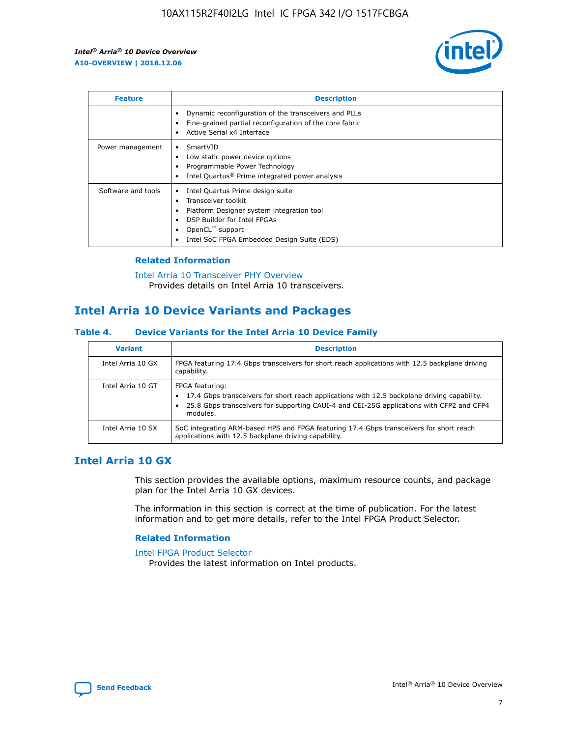

| <b>Feature</b>     | <b>Description</b>                                                                                                                                                                                               |
|--------------------|------------------------------------------------------------------------------------------------------------------------------------------------------------------------------------------------------------------|
|                    | Dynamic reconfiguration of the transceivers and PLLs<br>Fine-grained partial reconfiguration of the core fabric<br>Active Serial x4 Interface<br>$\bullet$                                                       |
| Power management   | SmartVID<br>Low static power device options<br>Programmable Power Technology<br>Intel Quartus <sup>®</sup> Prime integrated power analysis                                                                       |
| Software and tools | Intel Quartus Prime design suite<br>Transceiver toolkit<br>Platform Designer system integration tool<br>DSP Builder for Intel FPGAs<br>OpenCL <sup>™</sup> support<br>Intel SoC FPGA Embedded Design Suite (EDS) |

## **Related Information**

[Intel Arria 10 Transceiver PHY Overview](https://www.intel.com/content/www/us/en/programmable/documentation/nik1398707230472.html#nik1398706768037) Provides details on Intel Arria 10 transceivers.

# **Intel Arria 10 Device Variants and Packages**

#### **Table 4. Device Variants for the Intel Arria 10 Device Family**

| <b>Variant</b>    | <b>Description</b>                                                                                                                                                                                                     |
|-------------------|------------------------------------------------------------------------------------------------------------------------------------------------------------------------------------------------------------------------|
| Intel Arria 10 GX | FPGA featuring 17.4 Gbps transceivers for short reach applications with 12.5 backplane driving<br>capability.                                                                                                          |
| Intel Arria 10 GT | FPGA featuring:<br>17.4 Gbps transceivers for short reach applications with 12.5 backplane driving capability.<br>25.8 Gbps transceivers for supporting CAUI-4 and CEI-25G applications with CFP2 and CFP4<br>modules. |
| Intel Arria 10 SX | SoC integrating ARM-based HPS and FPGA featuring 17.4 Gbps transceivers for short reach<br>applications with 12.5 backplane driving capability.                                                                        |

# **Intel Arria 10 GX**

This section provides the available options, maximum resource counts, and package plan for the Intel Arria 10 GX devices.

The information in this section is correct at the time of publication. For the latest information and to get more details, refer to the Intel FPGA Product Selector.

#### **Related Information**

#### [Intel FPGA Product Selector](http://www.altera.com/products/selector/psg-selector.html) Provides the latest information on Intel products.

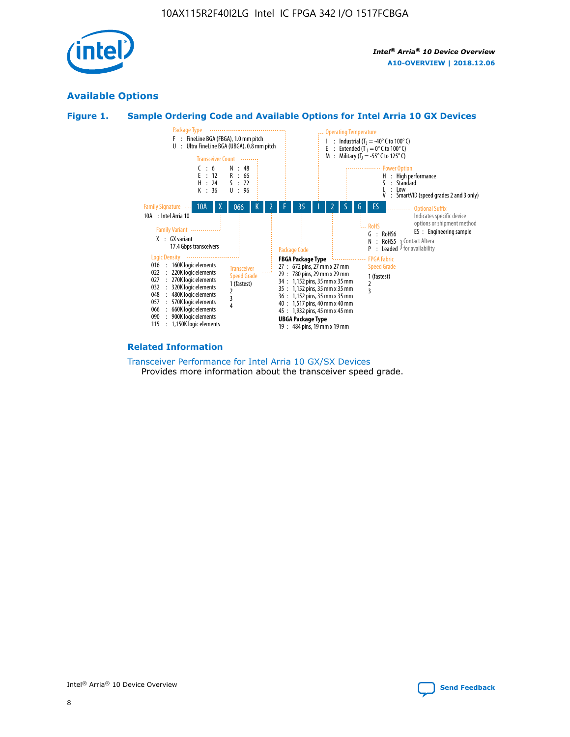

# **Available Options**





#### **Related Information**

[Transceiver Performance for Intel Arria 10 GX/SX Devices](https://www.intel.com/content/www/us/en/programmable/documentation/mcn1413182292568.html#mcn1413213965502) Provides more information about the transceiver speed grade.

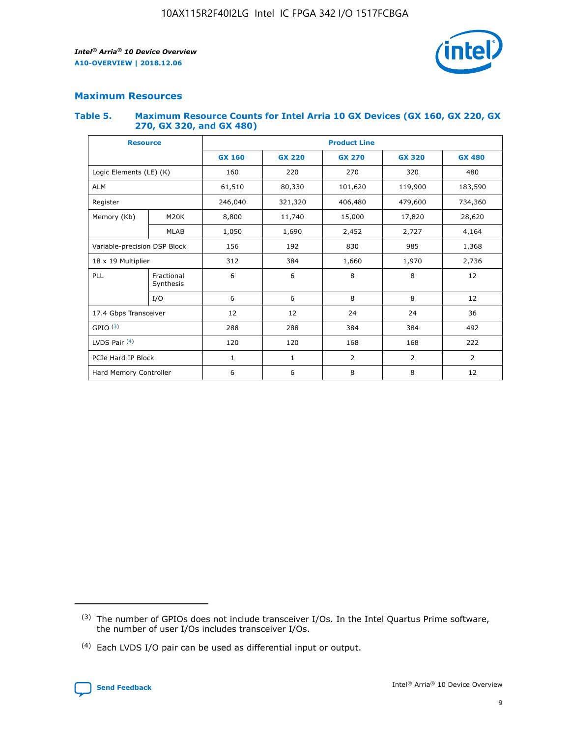

## **Maximum Resources**

#### **Table 5. Maximum Resource Counts for Intel Arria 10 GX Devices (GX 160, GX 220, GX 270, GX 320, and GX 480)**

| <b>Resource</b>         |                              | <b>Product Line</b> |                                |                |                |                |  |  |
|-------------------------|------------------------------|---------------------|--------------------------------|----------------|----------------|----------------|--|--|
|                         |                              | <b>GX 160</b>       | <b>GX 220</b><br><b>GX 270</b> |                | <b>GX 320</b>  | <b>GX 480</b>  |  |  |
| Logic Elements (LE) (K) |                              | 160                 | 220                            | 270            | 320            | 480            |  |  |
| <b>ALM</b>              |                              | 61,510              | 80,330                         | 101,620        | 119,900        | 183,590        |  |  |
| Register                |                              | 246,040             | 321,320                        | 406,480        | 479,600        | 734,360        |  |  |
| Memory (Kb)             | M <sub>20</sub> K            | 8,800               | 11,740                         | 15,000         | 17,820         | 28,620         |  |  |
| <b>MLAB</b>             |                              | 1,050               | 1,690                          | 2,452          | 2,727          | 4,164          |  |  |
|                         | Variable-precision DSP Block |                     | 156<br>192<br>830              |                | 985            | 1,368          |  |  |
| 18 x 19 Multiplier      |                              | 312                 | 384                            | 1,970<br>1,660 |                | 2,736          |  |  |
| PLL                     | Fractional<br>Synthesis      | 6                   | 6                              | 8              | 8              | 12             |  |  |
|                         | I/O                          | 6                   | 6                              | 8              | 8              | 12             |  |  |
| 17.4 Gbps Transceiver   |                              | 12                  | 12                             | 24             | 24             | 36             |  |  |
| GPIO <sup>(3)</sup>     |                              | 288<br>288<br>384   |                                | 384            | 492            |                |  |  |
| LVDS Pair $(4)$         |                              | 120                 | 120                            | 168            | 168            | 222            |  |  |
| PCIe Hard IP Block      |                              | 1                   | 1                              | 2              | $\overline{2}$ | $\overline{2}$ |  |  |
| Hard Memory Controller  |                              | 6                   | 6                              | 8              | 8              | 12             |  |  |

<sup>(4)</sup> Each LVDS I/O pair can be used as differential input or output.



<sup>(3)</sup> The number of GPIOs does not include transceiver I/Os. In the Intel Quartus Prime software, the number of user I/Os includes transceiver I/Os.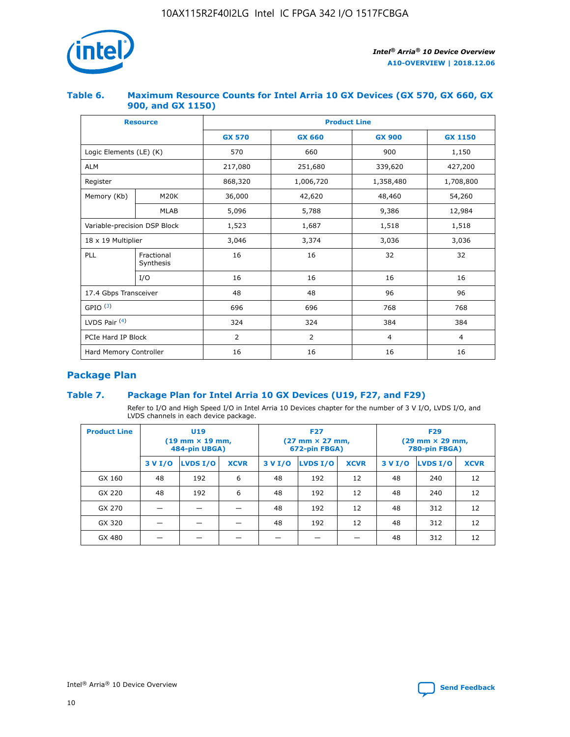

## **Table 6. Maximum Resource Counts for Intel Arria 10 GX Devices (GX 570, GX 660, GX 900, and GX 1150)**

|                              | <b>Resource</b>         | <b>Product Line</b> |                |                |                |  |  |  |
|------------------------------|-------------------------|---------------------|----------------|----------------|----------------|--|--|--|
|                              |                         | <b>GX 570</b>       | <b>GX 660</b>  | <b>GX 900</b>  | <b>GX 1150</b> |  |  |  |
| Logic Elements (LE) (K)      |                         | 570                 | 660            | 900            | 1,150          |  |  |  |
| <b>ALM</b>                   |                         | 217,080             | 251,680        | 339,620        | 427,200        |  |  |  |
| Register                     |                         | 868,320             | 1,006,720      | 1,358,480      | 1,708,800      |  |  |  |
| Memory (Kb)                  | <b>M20K</b>             | 36,000              | 42,620         | 48,460         | 54,260         |  |  |  |
| <b>MLAB</b>                  |                         | 5,096               | 5,788<br>9,386 |                | 12,984         |  |  |  |
| Variable-precision DSP Block |                         | 1,523               | 1,687          | 1,518          | 1,518          |  |  |  |
| $18 \times 19$ Multiplier    |                         | 3,046               | 3,374          | 3,036          | 3,036          |  |  |  |
| PLL                          | Fractional<br>Synthesis | 16                  | 16             | 32             | 32             |  |  |  |
|                              | I/O                     | 16                  | 16             | 16             | 16             |  |  |  |
| 17.4 Gbps Transceiver        |                         | 48                  | 48             | 96             | 96             |  |  |  |
| GPIO <sup>(3)</sup>          |                         | 696                 | 696            | 768            | 768            |  |  |  |
| LVDS Pair $(4)$              |                         | 324                 | 324            | 384            | 384            |  |  |  |
| PCIe Hard IP Block           |                         | 2                   | $\overline{2}$ | $\overline{4}$ | $\overline{4}$ |  |  |  |
| Hard Memory Controller       |                         | 16                  | 16             | 16             | 16             |  |  |  |

# **Package Plan**

## **Table 7. Package Plan for Intel Arria 10 GX Devices (U19, F27, and F29)**

Refer to I/O and High Speed I/O in Intel Arria 10 Devices chapter for the number of 3 V I/O, LVDS I/O, and LVDS channels in each device package.

| <b>Product Line</b> |         | U <sub>19</sub><br>$(19 \text{ mm} \times 19 \text{ mm})$<br>484-pin UBGA) |             |         | <b>F27</b><br>(27 mm × 27 mm,<br>672-pin FBGA) |             | <b>F29</b><br>(29 mm × 29 mm,<br>780-pin FBGA) |          |             |
|---------------------|---------|----------------------------------------------------------------------------|-------------|---------|------------------------------------------------|-------------|------------------------------------------------|----------|-------------|
|                     | 3 V I/O | LVDS I/O                                                                   | <b>XCVR</b> | 3 V I/O | LVDS I/O                                       | <b>XCVR</b> | 3 V I/O                                        | LVDS I/O | <b>XCVR</b> |
| GX 160              | 48      | 192                                                                        | 6           | 48      | 192                                            | 12          | 48                                             | 240      | 12          |
| GX 220              | 48      | 192                                                                        | 6           | 48      | 192                                            | 12          | 48                                             | 240      | 12          |
| GX 270              |         |                                                                            |             | 48      | 192                                            | 12          | 48                                             | 312      | 12          |
| GX 320              |         |                                                                            |             | 48      | 192                                            | 12          | 48                                             | 312      | 12          |
| GX 480              |         |                                                                            |             |         |                                                |             | 48                                             | 312      | 12          |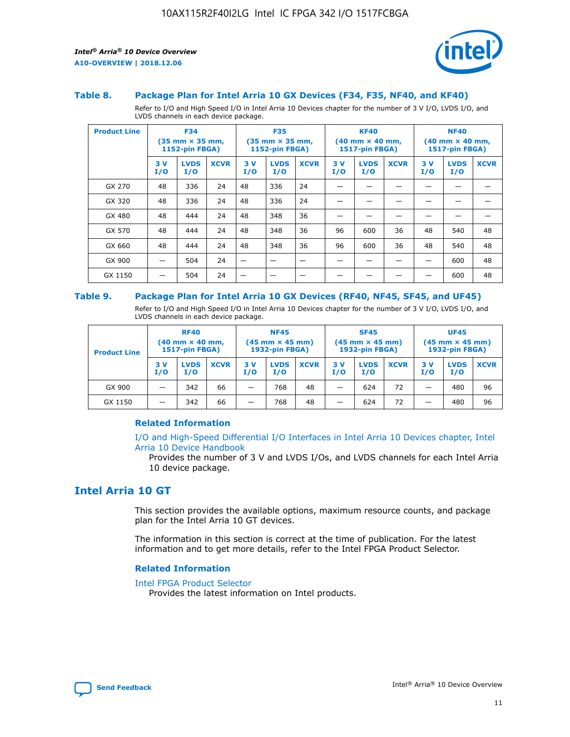

#### **Table 8. Package Plan for Intel Arria 10 GX Devices (F34, F35, NF40, and KF40)**

Refer to I/O and High Speed I/O in Intel Arria 10 Devices chapter for the number of 3 V I/O, LVDS I/O, and LVDS channels in each device package.

| <b>Product Line</b> |           | <b>F34</b><br>$(35 \text{ mm} \times 35 \text{ mm})$<br><b>1152-pin FBGA)</b> |             |           | <b>F35</b><br>$(35 \text{ mm} \times 35 \text{ mm})$<br><b>1152-pin FBGA)</b> |             | <b>KF40</b><br>$(40$ mm $\times$ 40 mm,<br>1517-pin FBGA) |                    | <b>NF40</b><br>$(40 \text{ mm} \times 40 \text{ mm})$<br>1517-pin FBGA) |           |                    |             |
|---------------------|-----------|-------------------------------------------------------------------------------|-------------|-----------|-------------------------------------------------------------------------------|-------------|-----------------------------------------------------------|--------------------|-------------------------------------------------------------------------|-----------|--------------------|-------------|
|                     | 3V<br>I/O | <b>LVDS</b><br>I/O                                                            | <b>XCVR</b> | 3V<br>I/O | <b>LVDS</b><br>I/O                                                            | <b>XCVR</b> | 3V<br>I/O                                                 | <b>LVDS</b><br>I/O | <b>XCVR</b>                                                             | 3V<br>I/O | <b>LVDS</b><br>I/O | <b>XCVR</b> |
| GX 270              | 48        | 336                                                                           | 24          | 48        | 336                                                                           | 24          |                                                           |                    |                                                                         |           |                    |             |
| GX 320              | 48        | 336                                                                           | 24          | 48        | 336                                                                           | 24          |                                                           |                    |                                                                         |           |                    |             |
| GX 480              | 48        | 444                                                                           | 24          | 48        | 348                                                                           | 36          |                                                           |                    |                                                                         |           |                    |             |
| GX 570              | 48        | 444                                                                           | 24          | 48        | 348                                                                           | 36          | 96                                                        | 600                | 36                                                                      | 48        | 540                | 48          |
| GX 660              | 48        | 444                                                                           | 24          | 48        | 348                                                                           | 36          | 96                                                        | 600                | 36                                                                      | 48        | 540                | 48          |
| GX 900              |           | 504                                                                           | 24          | –         |                                                                               | -           |                                                           |                    |                                                                         |           | 600                | 48          |
| GX 1150             |           | 504                                                                           | 24          |           |                                                                               |             |                                                           |                    |                                                                         |           | 600                | 48          |

#### **Table 9. Package Plan for Intel Arria 10 GX Devices (RF40, NF45, SF45, and UF45)**

Refer to I/O and High Speed I/O in Intel Arria 10 Devices chapter for the number of 3 V I/O, LVDS I/O, and LVDS channels in each device package.

| <b>Product Line</b> | <b>RF40</b><br>$(40$ mm $\times$ 40 mm,<br>1517-pin FBGA) |                    | <b>NF45</b><br>$(45 \text{ mm} \times 45 \text{ mm})$<br><b>1932-pin FBGA)</b> |            |                    | <b>SF45</b><br>$(45 \text{ mm} \times 45 \text{ mm})$<br><b>1932-pin FBGA)</b> |            |                    | <b>UF45</b><br>$(45 \text{ mm} \times 45 \text{ mm})$<br><b>1932-pin FBGA)</b> |           |                    |             |
|---------------------|-----------------------------------------------------------|--------------------|--------------------------------------------------------------------------------|------------|--------------------|--------------------------------------------------------------------------------|------------|--------------------|--------------------------------------------------------------------------------|-----------|--------------------|-------------|
|                     | 3V<br>I/O                                                 | <b>LVDS</b><br>I/O | <b>XCVR</b>                                                                    | 3 V<br>I/O | <b>LVDS</b><br>I/O | <b>XCVR</b>                                                                    | 3 V<br>I/O | <b>LVDS</b><br>I/O | <b>XCVR</b>                                                                    | 3V<br>I/O | <b>LVDS</b><br>I/O | <b>XCVR</b> |
| GX 900              |                                                           | 342                | 66                                                                             | _          | 768                | 48                                                                             |            | 624                | 72                                                                             |           | 480                | 96          |
| GX 1150             |                                                           | 342                | 66                                                                             | _          | 768                | 48                                                                             |            | 624                | 72                                                                             |           | 480                | 96          |

#### **Related Information**

[I/O and High-Speed Differential I/O Interfaces in Intel Arria 10 Devices chapter, Intel](https://www.intel.com/content/www/us/en/programmable/documentation/sam1403482614086.html#sam1403482030321) [Arria 10 Device Handbook](https://www.intel.com/content/www/us/en/programmable/documentation/sam1403482614086.html#sam1403482030321)

Provides the number of 3 V and LVDS I/Os, and LVDS channels for each Intel Arria 10 device package.

# **Intel Arria 10 GT**

This section provides the available options, maximum resource counts, and package plan for the Intel Arria 10 GT devices.

The information in this section is correct at the time of publication. For the latest information and to get more details, refer to the Intel FPGA Product Selector.

#### **Related Information**

#### [Intel FPGA Product Selector](http://www.altera.com/products/selector/psg-selector.html)

Provides the latest information on Intel products.

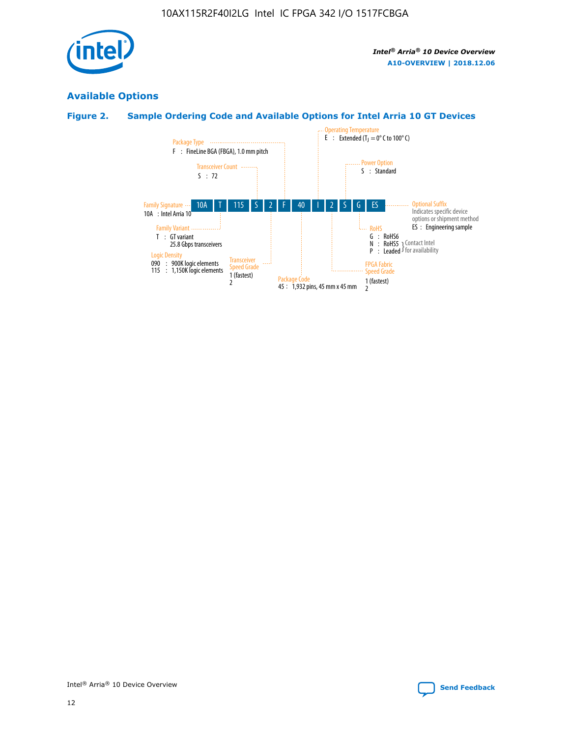

# **Available Options**

# **Figure 2. Sample Ordering Code and Available Options for Intel Arria 10 GT Devices**

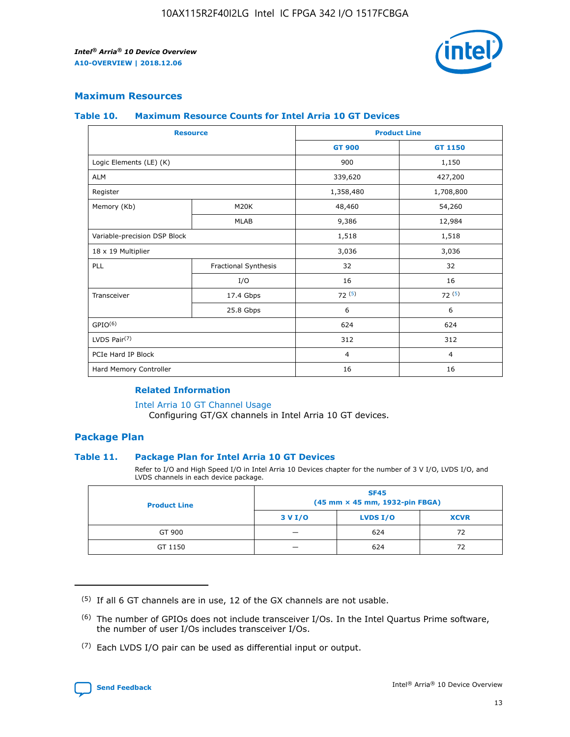

## **Maximum Resources**

#### **Table 10. Maximum Resource Counts for Intel Arria 10 GT Devices**

| <b>Resource</b>              |                      | <b>Product Line</b> |                |  |
|------------------------------|----------------------|---------------------|----------------|--|
|                              |                      | <b>GT 900</b>       | <b>GT 1150</b> |  |
| Logic Elements (LE) (K)      |                      | 900                 | 1,150          |  |
| <b>ALM</b>                   |                      | 339,620             | 427,200        |  |
| Register                     |                      | 1,358,480           | 1,708,800      |  |
| Memory (Kb)                  | M20K                 | 48,460              | 54,260         |  |
|                              | <b>MLAB</b>          | 9,386               | 12,984         |  |
| Variable-precision DSP Block |                      | 1,518               | 1,518          |  |
| 18 x 19 Multiplier           |                      | 3,036               | 3,036          |  |
| PLL                          | Fractional Synthesis | 32                  | 32             |  |
|                              | I/O                  | 16                  | 16             |  |
| Transceiver                  | 17.4 Gbps            | 72(5)               | 72(5)          |  |
|                              | 25.8 Gbps            | 6                   | 6              |  |
| GPIO <sup>(6)</sup>          |                      | 624                 | 624            |  |
| LVDS Pair $(7)$              |                      | 312                 | 312            |  |
| PCIe Hard IP Block           |                      | $\overline{4}$      | $\overline{4}$ |  |
| Hard Memory Controller       |                      | 16                  | 16             |  |

#### **Related Information**

#### [Intel Arria 10 GT Channel Usage](https://www.intel.com/content/www/us/en/programmable/documentation/nik1398707230472.html#nik1398707008178)

Configuring GT/GX channels in Intel Arria 10 GT devices.

## **Package Plan**

#### **Table 11. Package Plan for Intel Arria 10 GT Devices**

Refer to I/O and High Speed I/O in Intel Arria 10 Devices chapter for the number of 3 V I/O, LVDS I/O, and LVDS channels in each device package.

| <b>Product Line</b> | <b>SF45</b><br>(45 mm × 45 mm, 1932-pin FBGA) |                 |             |  |  |  |
|---------------------|-----------------------------------------------|-----------------|-------------|--|--|--|
|                     | 3 V I/O                                       | <b>LVDS I/O</b> | <b>XCVR</b> |  |  |  |
| GT 900              |                                               | 624             | 72          |  |  |  |
| GT 1150             |                                               | 624             | 72          |  |  |  |

<sup>(7)</sup> Each LVDS I/O pair can be used as differential input or output.



 $(5)$  If all 6 GT channels are in use, 12 of the GX channels are not usable.

<sup>(6)</sup> The number of GPIOs does not include transceiver I/Os. In the Intel Quartus Prime software, the number of user I/Os includes transceiver I/Os.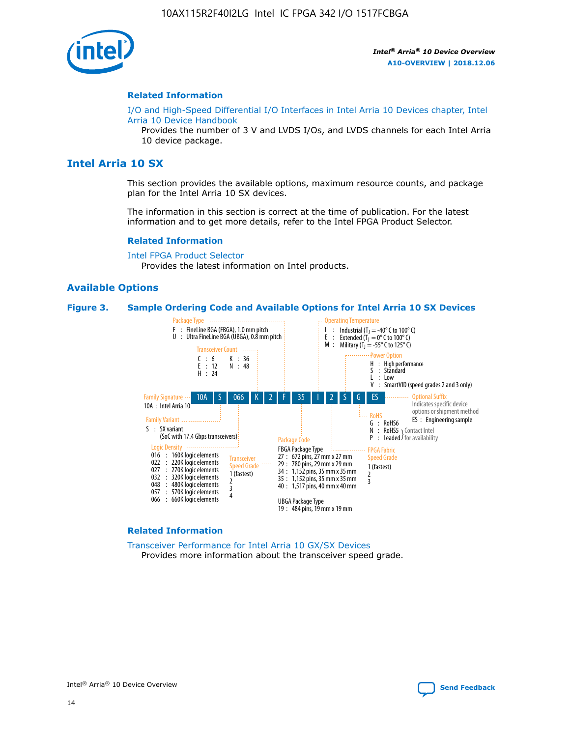

#### **Related Information**

[I/O and High-Speed Differential I/O Interfaces in Intel Arria 10 Devices chapter, Intel](https://www.intel.com/content/www/us/en/programmable/documentation/sam1403482614086.html#sam1403482030321) [Arria 10 Device Handbook](https://www.intel.com/content/www/us/en/programmable/documentation/sam1403482614086.html#sam1403482030321)

Provides the number of 3 V and LVDS I/Os, and LVDS channels for each Intel Arria 10 device package.

# **Intel Arria 10 SX**

This section provides the available options, maximum resource counts, and package plan for the Intel Arria 10 SX devices.

The information in this section is correct at the time of publication. For the latest information and to get more details, refer to the Intel FPGA Product Selector.

#### **Related Information**

[Intel FPGA Product Selector](http://www.altera.com/products/selector/psg-selector.html) Provides the latest information on Intel products.

#### **Available Options**

#### **Figure 3. Sample Ordering Code and Available Options for Intel Arria 10 SX Devices**



#### **Related Information**

[Transceiver Performance for Intel Arria 10 GX/SX Devices](https://www.intel.com/content/www/us/en/programmable/documentation/mcn1413182292568.html#mcn1413213965502) Provides more information about the transceiver speed grade.

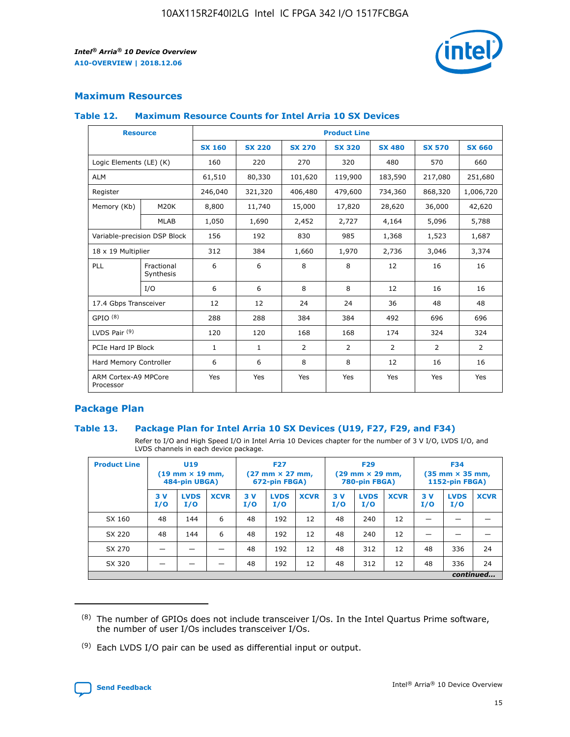

## **Maximum Resources**

#### **Table 12. Maximum Resource Counts for Intel Arria 10 SX Devices**

| <b>Resource</b>                   |                         | <b>Product Line</b> |               |               |                |               |               |               |  |  |  |
|-----------------------------------|-------------------------|---------------------|---------------|---------------|----------------|---------------|---------------|---------------|--|--|--|
|                                   |                         | <b>SX 160</b>       | <b>SX 220</b> | <b>SX 270</b> | <b>SX 320</b>  | <b>SX 480</b> | <b>SX 570</b> | <b>SX 660</b> |  |  |  |
| Logic Elements (LE) (K)           |                         | 160                 | 220           | 270           | 320            | 480           | 570           | 660           |  |  |  |
| <b>ALM</b>                        |                         | 61,510              | 80,330        | 101,620       | 119,900        | 183,590       | 217,080       | 251,680       |  |  |  |
| Register                          |                         | 246,040             | 321,320       | 406,480       | 479,600        | 734,360       | 868,320       | 1,006,720     |  |  |  |
| Memory (Kb)                       | M20K                    | 8,800               | 11,740        | 15,000        | 17,820         | 28,620        | 36,000        | 42,620        |  |  |  |
|                                   | <b>MLAB</b>             | 1,050               | 1,690         | 2,452         | 2,727          | 4,164         | 5,096         | 5,788         |  |  |  |
| Variable-precision DSP Block      |                         | 156                 | 192           | 830           | 985            | 1,368         | 1,523         | 1,687         |  |  |  |
| 18 x 19 Multiplier                |                         | 312                 | 384           | 1,660         | 1,970          | 2,736         | 3,046         | 3,374         |  |  |  |
| PLL                               | Fractional<br>Synthesis | 6                   | 6             | 8             | 8              | 12            | 16            | 16            |  |  |  |
|                                   | I/O                     | 6                   | 6             | 8             | 8              | 12            | 16            | 16            |  |  |  |
| 17.4 Gbps Transceiver             |                         | 12                  | 12            | 24            | 24             | 36            | 48            | 48            |  |  |  |
| GPIO <sup>(8)</sup>               |                         | 288                 | 288           | 384           | 384            | 492           | 696           | 696           |  |  |  |
| LVDS Pair $(9)$                   |                         | 120                 | 120           | 168           | 168            | 174           | 324           | 324           |  |  |  |
|                                   | PCIe Hard IP Block      |                     | $\mathbf{1}$  | 2             | $\overline{2}$ | 2             | 2             | 2             |  |  |  |
| Hard Memory Controller            |                         | 6                   | 6             | 8             | 8              | 12            | 16            | 16            |  |  |  |
| ARM Cortex-A9 MPCore<br>Processor |                         | Yes                 | Yes           | Yes           | Yes            | Yes           | Yes           | Yes           |  |  |  |

## **Package Plan**

#### **Table 13. Package Plan for Intel Arria 10 SX Devices (U19, F27, F29, and F34)**

Refer to I/O and High Speed I/O in Intel Arria 10 Devices chapter for the number of 3 V I/O, LVDS I/O, and LVDS channels in each device package.

| <b>Product Line</b> | U <sub>19</sub><br>$(19 \text{ mm} \times 19 \text{ mm})$<br>484-pin UBGA) |                    | <b>F27</b><br>$(27 \text{ mm} \times 27 \text{ mm})$<br>672-pin FBGA) |           | <b>F29</b><br>$(29 \text{ mm} \times 29 \text{ mm})$<br>780-pin FBGA) |             |            | <b>F34</b><br>$(35 \text{ mm} \times 35 \text{ mm})$<br><b>1152-pin FBGA)</b> |             |           |                    |             |
|---------------------|----------------------------------------------------------------------------|--------------------|-----------------------------------------------------------------------|-----------|-----------------------------------------------------------------------|-------------|------------|-------------------------------------------------------------------------------|-------------|-----------|--------------------|-------------|
|                     | 3V<br>I/O                                                                  | <b>LVDS</b><br>I/O | <b>XCVR</b>                                                           | 3V<br>I/O | <b>LVDS</b><br>I/O                                                    | <b>XCVR</b> | 3 V<br>I/O | <b>LVDS</b><br>I/O                                                            | <b>XCVR</b> | 3V<br>I/O | <b>LVDS</b><br>I/O | <b>XCVR</b> |
| SX 160              | 48                                                                         | 144                | 6                                                                     | 48        | 192                                                                   | 12          | 48         | 240                                                                           | 12          | –         |                    |             |
| SX 220              | 48                                                                         | 144                | 6                                                                     | 48        | 192                                                                   | 12          | 48         | 240                                                                           | 12          |           |                    |             |
| SX 270              |                                                                            |                    |                                                                       | 48        | 192                                                                   | 12          | 48         | 312                                                                           | 12          | 48        | 336                | 24          |
| SX 320              |                                                                            |                    |                                                                       | 48        | 192                                                                   | 12          | 48         | 312                                                                           | 12          | 48        | 336                | 24          |
|                     |                                                                            |                    |                                                                       |           |                                                                       |             |            |                                                                               |             |           |                    | continued   |

 $(8)$  The number of GPIOs does not include transceiver I/Os. In the Intel Quartus Prime software, the number of user I/Os includes transceiver I/Os.

 $(9)$  Each LVDS I/O pair can be used as differential input or output.

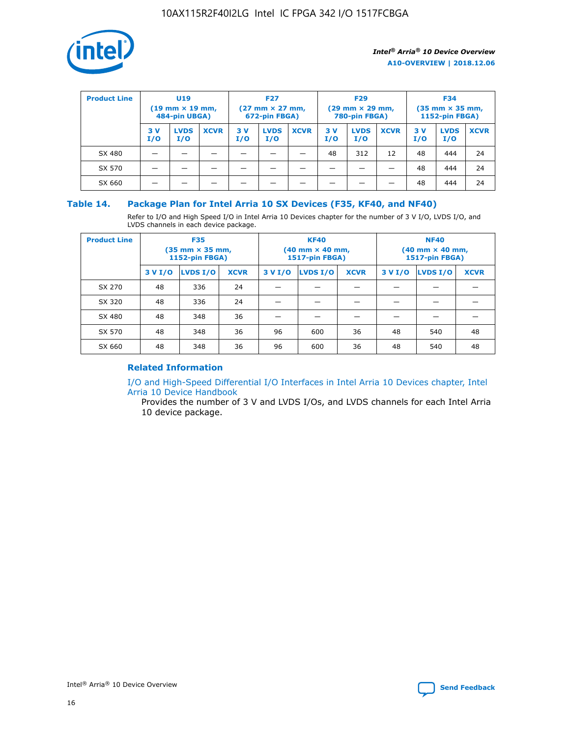

| <b>Product Line</b> | U <sub>19</sub><br>$(19 \text{ mm} \times 19 \text{ mm})$<br>484-pin UBGA) |                    | <b>F27</b><br>$(27 \text{ mm} \times 27 \text{ mm})$<br>672-pin FBGA) |           | <b>F29</b><br>$(29 \text{ mm} \times 29 \text{ mm})$<br>780-pin FBGA) |             |           | <b>F34</b><br>$(35 \text{ mm} \times 35 \text{ mm})$<br><b>1152-pin FBGA)</b> |             |           |                    |             |
|---------------------|----------------------------------------------------------------------------|--------------------|-----------------------------------------------------------------------|-----------|-----------------------------------------------------------------------|-------------|-----------|-------------------------------------------------------------------------------|-------------|-----------|--------------------|-------------|
|                     | 3 V<br>I/O                                                                 | <b>LVDS</b><br>I/O | <b>XCVR</b>                                                           | 3V<br>I/O | <b>LVDS</b><br>I/O                                                    | <b>XCVR</b> | 3V<br>I/O | <b>LVDS</b><br>I/O                                                            | <b>XCVR</b> | 3V<br>I/O | <b>LVDS</b><br>I/O | <b>XCVR</b> |
| SX 480              |                                                                            |                    |                                                                       |           |                                                                       |             | 48        | 312                                                                           | 12          | 48        | 444                | 24          |
| SX 570              |                                                                            |                    |                                                                       |           |                                                                       |             |           |                                                                               |             | 48        | 444                | 24          |
| SX 660              |                                                                            |                    |                                                                       |           |                                                                       |             |           |                                                                               |             | 48        | 444                | 24          |

## **Table 14. Package Plan for Intel Arria 10 SX Devices (F35, KF40, and NF40)**

Refer to I/O and High Speed I/O in Intel Arria 10 Devices chapter for the number of 3 V I/O, LVDS I/O, and LVDS channels in each device package.

| <b>Product Line</b> | <b>F35</b><br>$(35 \text{ mm} \times 35 \text{ mm})$<br><b>1152-pin FBGA)</b> |          |             |                                           | <b>KF40</b><br>(40 mm × 40 mm,<br>1517-pin FBGA) |    | <b>NF40</b><br>$(40 \text{ mm} \times 40 \text{ mm})$<br>1517-pin FBGA) |          |             |  |
|---------------------|-------------------------------------------------------------------------------|----------|-------------|-------------------------------------------|--------------------------------------------------|----|-------------------------------------------------------------------------|----------|-------------|--|
|                     | 3 V I/O                                                                       | LVDS I/O | <b>XCVR</b> | <b>LVDS I/O</b><br><b>XCVR</b><br>3 V I/O |                                                  |    | 3 V I/O                                                                 | LVDS I/O | <b>XCVR</b> |  |
| SX 270              | 48                                                                            | 336      | 24          |                                           |                                                  |    |                                                                         |          |             |  |
| SX 320              | 48                                                                            | 336      | 24          |                                           |                                                  |    |                                                                         |          |             |  |
| SX 480              | 48                                                                            | 348      | 36          |                                           |                                                  |    |                                                                         |          |             |  |
| SX 570              | 48                                                                            | 348      | 36          | 96                                        | 600                                              | 36 | 48                                                                      | 540      | 48          |  |
| SX 660              | 48                                                                            | 348      | 36          | 96                                        | 600                                              | 36 | 48                                                                      | 540      | 48          |  |

# **Related Information**

[I/O and High-Speed Differential I/O Interfaces in Intel Arria 10 Devices chapter, Intel](https://www.intel.com/content/www/us/en/programmable/documentation/sam1403482614086.html#sam1403482030321) [Arria 10 Device Handbook](https://www.intel.com/content/www/us/en/programmable/documentation/sam1403482614086.html#sam1403482030321)

Provides the number of 3 V and LVDS I/Os, and LVDS channels for each Intel Arria 10 device package.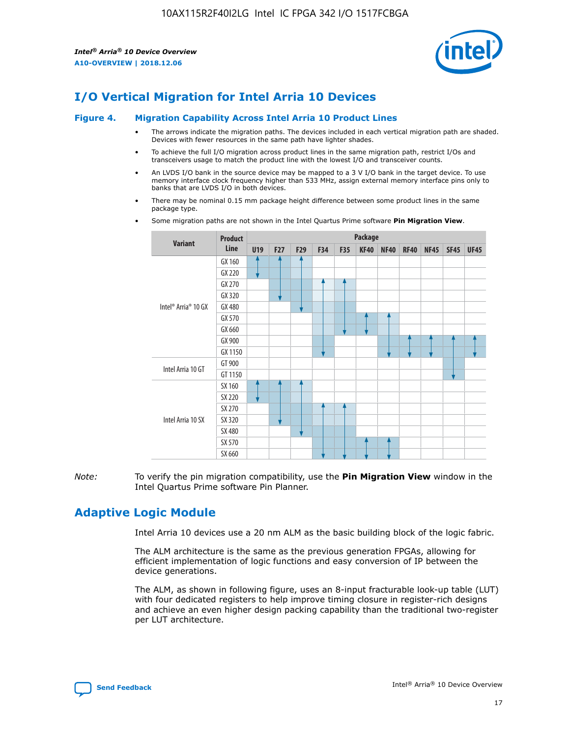

# **I/O Vertical Migration for Intel Arria 10 Devices**

#### **Figure 4. Migration Capability Across Intel Arria 10 Product Lines**

- The arrows indicate the migration paths. The devices included in each vertical migration path are shaded. Devices with fewer resources in the same path have lighter shades.
- To achieve the full I/O migration across product lines in the same migration path, restrict I/Os and transceivers usage to match the product line with the lowest I/O and transceiver counts.
- An LVDS I/O bank in the source device may be mapped to a 3 V I/O bank in the target device. To use memory interface clock frequency higher than 533 MHz, assign external memory interface pins only to banks that are LVDS I/O in both devices.
- There may be nominal 0.15 mm package height difference between some product lines in the same package type.
	- **Variant Product Line Package U19 F27 F29 F34 F35 KF40 NF40 RF40 NF45 SF45 UF45** Intel® Arria® 10 GX GX 160 GX 220 GX 270 GX 320 GX 480 GX 570 GX 660 GX 900 GX 1150 Intel Arria 10 GT GT 900 GT 1150 Intel Arria 10 SX SX 160 SX 220 SX 270 SX 320 SX 480 SX 570 SX 660
- Some migration paths are not shown in the Intel Quartus Prime software **Pin Migration View**.

*Note:* To verify the pin migration compatibility, use the **Pin Migration View** window in the Intel Quartus Prime software Pin Planner.

# **Adaptive Logic Module**

Intel Arria 10 devices use a 20 nm ALM as the basic building block of the logic fabric.

The ALM architecture is the same as the previous generation FPGAs, allowing for efficient implementation of logic functions and easy conversion of IP between the device generations.

The ALM, as shown in following figure, uses an 8-input fracturable look-up table (LUT) with four dedicated registers to help improve timing closure in register-rich designs and achieve an even higher design packing capability than the traditional two-register per LUT architecture.

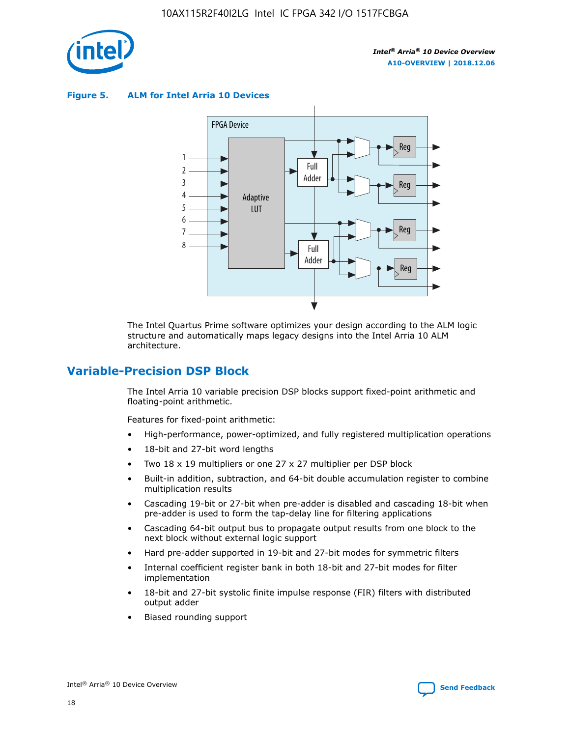

**Figure 5. ALM for Intel Arria 10 Devices**



The Intel Quartus Prime software optimizes your design according to the ALM logic structure and automatically maps legacy designs into the Intel Arria 10 ALM architecture.

# **Variable-Precision DSP Block**

The Intel Arria 10 variable precision DSP blocks support fixed-point arithmetic and floating-point arithmetic.

Features for fixed-point arithmetic:

- High-performance, power-optimized, and fully registered multiplication operations
- 18-bit and 27-bit word lengths
- Two 18 x 19 multipliers or one 27 x 27 multiplier per DSP block
- Built-in addition, subtraction, and 64-bit double accumulation register to combine multiplication results
- Cascading 19-bit or 27-bit when pre-adder is disabled and cascading 18-bit when pre-adder is used to form the tap-delay line for filtering applications
- Cascading 64-bit output bus to propagate output results from one block to the next block without external logic support
- Hard pre-adder supported in 19-bit and 27-bit modes for symmetric filters
- Internal coefficient register bank in both 18-bit and 27-bit modes for filter implementation
- 18-bit and 27-bit systolic finite impulse response (FIR) filters with distributed output adder
- Biased rounding support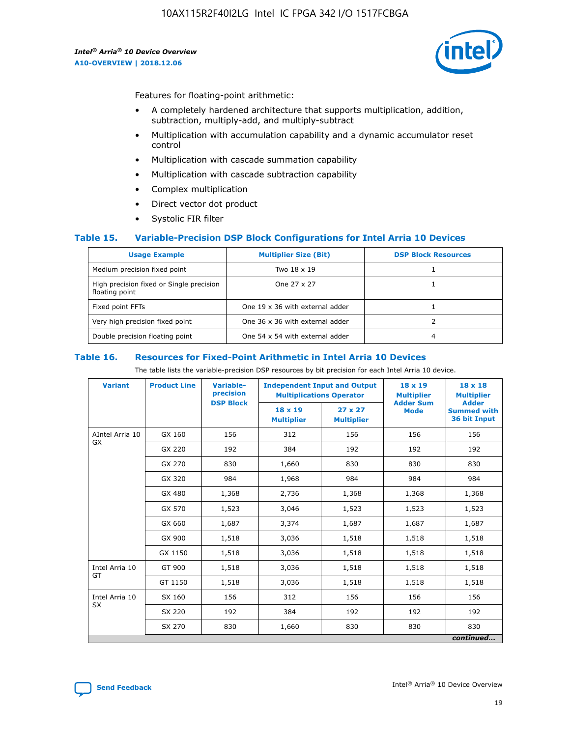

Features for floating-point arithmetic:

- A completely hardened architecture that supports multiplication, addition, subtraction, multiply-add, and multiply-subtract
- Multiplication with accumulation capability and a dynamic accumulator reset control
- Multiplication with cascade summation capability
- Multiplication with cascade subtraction capability
- Complex multiplication
- Direct vector dot product
- Systolic FIR filter

#### **Table 15. Variable-Precision DSP Block Configurations for Intel Arria 10 Devices**

| <b>Usage Example</b>                                       | <b>Multiplier Size (Bit)</b>    | <b>DSP Block Resources</b> |
|------------------------------------------------------------|---------------------------------|----------------------------|
| Medium precision fixed point                               | Two 18 x 19                     |                            |
| High precision fixed or Single precision<br>floating point | One 27 x 27                     |                            |
| Fixed point FFTs                                           | One 19 x 36 with external adder |                            |
| Very high precision fixed point                            | One 36 x 36 with external adder |                            |
| Double precision floating point                            | One 54 x 54 with external adder | 4                          |

#### **Table 16. Resources for Fixed-Point Arithmetic in Intel Arria 10 Devices**

The table lists the variable-precision DSP resources by bit precision for each Intel Arria 10 device.

| <b>Variant</b>  | <b>Product Line</b> | <b>Variable-</b><br>precision<br><b>DSP Block</b> | <b>Independent Input and Output</b><br><b>Multiplications Operator</b> |                                     | 18 x 19<br><b>Multiplier</b><br><b>Adder Sum</b> | $18 \times 18$<br><b>Multiplier</b><br><b>Adder</b> |
|-----------------|---------------------|---------------------------------------------------|------------------------------------------------------------------------|-------------------------------------|--------------------------------------------------|-----------------------------------------------------|
|                 |                     |                                                   | 18 x 19<br><b>Multiplier</b>                                           | $27 \times 27$<br><b>Multiplier</b> | <b>Mode</b>                                      | <b>Summed with</b><br>36 bit Input                  |
| AIntel Arria 10 | GX 160              | 156                                               | 312                                                                    | 156                                 | 156                                              | 156                                                 |
| GX              | GX 220              | 192                                               | 384                                                                    | 192                                 | 192                                              | 192                                                 |
|                 | GX 270              | 830                                               | 1,660                                                                  | 830                                 | 830                                              | 830                                                 |
|                 | GX 320              | 984                                               | 1,968                                                                  | 984                                 | 984                                              | 984                                                 |
|                 | GX 480              | 1,368                                             | 2,736                                                                  | 1,368                               | 1,368                                            | 1,368                                               |
|                 | GX 570              | 1,523                                             | 3,046                                                                  | 1,523                               | 1,523                                            | 1,523                                               |
|                 | GX 660              | 1,687                                             | 3,374                                                                  | 1,687                               | 1,687                                            | 1,687                                               |
|                 | GX 900              | 1,518                                             | 3,036                                                                  | 1,518                               | 1,518                                            | 1,518                                               |
|                 | GX 1150             | 1,518                                             | 3,036                                                                  | 1,518                               | 1,518                                            | 1,518                                               |
| Intel Arria 10  | GT 900              | 1,518                                             | 3,036                                                                  | 1,518                               | 1,518                                            | 1,518                                               |
| GT              | GT 1150             | 1,518                                             | 3,036                                                                  | 1,518                               | 1,518                                            | 1,518                                               |
| Intel Arria 10  | SX 160              | 156                                               | 312                                                                    | 156                                 | 156                                              | 156                                                 |
| <b>SX</b>       | SX 220              | 192                                               | 384                                                                    | 192                                 | 192                                              | 192                                                 |
|                 | SX 270              | 830                                               | 830<br>1,660                                                           |                                     | 830                                              | 830                                                 |
|                 |                     |                                                   |                                                                        |                                     |                                                  | continued                                           |

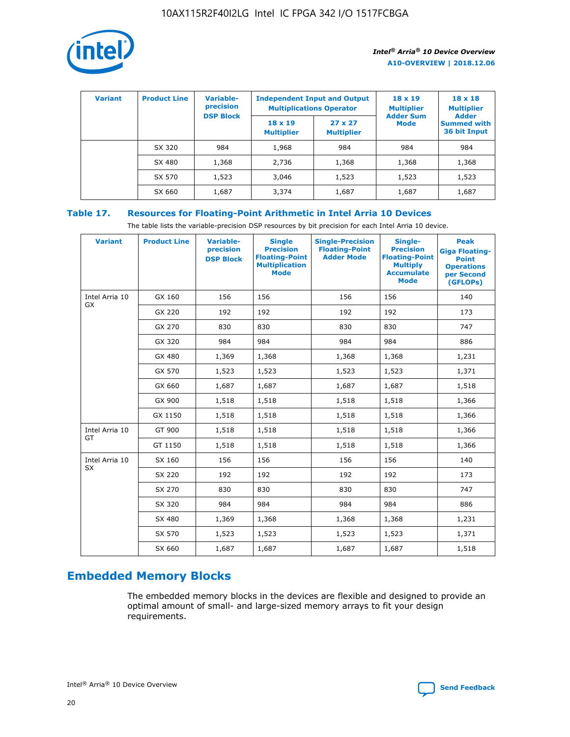

| <b>Variant</b> | <b>Product Line</b> | <b>Variable-</b><br>precision |                                     | <b>Independent Input and Output</b><br><b>Multiplications Operator</b> | $18 \times 19$<br><b>Multiplier</b> | $18 \times 18$<br><b>Multiplier</b><br><b>Adder</b> |  |
|----------------|---------------------|-------------------------------|-------------------------------------|------------------------------------------------------------------------|-------------------------------------|-----------------------------------------------------|--|
|                |                     | <b>DSP Block</b>              | $18 \times 19$<br><b>Multiplier</b> | $27 \times 27$<br><b>Multiplier</b>                                    | <b>Adder Sum</b><br>Mode            | <b>Summed with</b><br>36 bit Input                  |  |
|                | SX 320              | 984                           | 1,968                               | 984                                                                    | 984                                 | 984                                                 |  |
|                | SX 480              | 1,368                         | 2,736                               | 1,368                                                                  | 1,368                               | 1,368                                               |  |
|                | SX 570              | 1,523                         | 3,046                               | 1,523                                                                  | 1,523                               | 1,523                                               |  |
|                | SX 660              | 1,687                         | 3,374                               | 1,687                                                                  | 1,687                               | 1,687                                               |  |

# **Table 17. Resources for Floating-Point Arithmetic in Intel Arria 10 Devices**

The table lists the variable-precision DSP resources by bit precision for each Intel Arria 10 device.

| <b>Variant</b> | <b>Product Line</b> | <b>Variable-</b><br>precision<br><b>DSP Block</b> | <b>Single</b><br><b>Precision</b><br><b>Floating-Point</b><br><b>Multiplication</b><br><b>Mode</b> | <b>Single-Precision</b><br><b>Floating-Point</b><br><b>Adder Mode</b> | Single-<br><b>Precision</b><br><b>Floating-Point</b><br><b>Multiply</b><br><b>Accumulate</b><br><b>Mode</b> | <b>Peak</b><br><b>Giga Floating-</b><br><b>Point</b><br><b>Operations</b><br>per Second<br>(GFLOPs) |
|----------------|---------------------|---------------------------------------------------|----------------------------------------------------------------------------------------------------|-----------------------------------------------------------------------|-------------------------------------------------------------------------------------------------------------|-----------------------------------------------------------------------------------------------------|
| Intel Arria 10 | GX 160              | 156                                               | 156                                                                                                | 156                                                                   | 156                                                                                                         | 140                                                                                                 |
| <b>GX</b>      | GX 220              | 192                                               | 192                                                                                                | 192                                                                   | 192                                                                                                         | 173                                                                                                 |
|                | GX 270              | 830                                               | 830                                                                                                | 830                                                                   | 830                                                                                                         | 747                                                                                                 |
|                | GX 320              | 984                                               | 984                                                                                                | 984                                                                   | 984                                                                                                         | 886                                                                                                 |
|                | GX 480              | 1,369                                             | 1,368                                                                                              | 1,368                                                                 | 1,368                                                                                                       | 1,231                                                                                               |
|                | GX 570              | 1,523                                             | 1,523                                                                                              | 1,523                                                                 | 1,523                                                                                                       | 1,371                                                                                               |
|                | GX 660              | 1,687                                             | 1,687                                                                                              | 1,687                                                                 | 1,687                                                                                                       | 1,518                                                                                               |
|                | GX 900              | 1,518                                             | 1,518                                                                                              | 1,518                                                                 | 1,518                                                                                                       | 1,366                                                                                               |
|                | GX 1150             | 1,518                                             | 1,518                                                                                              | 1,518                                                                 | 1,518                                                                                                       | 1,366                                                                                               |
| Intel Arria 10 | GT 900              | 1,518                                             | 1,518                                                                                              | 1,518                                                                 | 1,518                                                                                                       | 1,366                                                                                               |
| GT             | GT 1150             | 1,518                                             | 1,518                                                                                              | 1,518                                                                 | 1,518                                                                                                       | 1,366                                                                                               |
| Intel Arria 10 | SX 160              | 156                                               | 156                                                                                                | 156                                                                   | 156                                                                                                         | 140                                                                                                 |
| SX             | SX 220              | 192                                               | 192                                                                                                | 192                                                                   | 192                                                                                                         | 173                                                                                                 |
|                | SX 270              | 830                                               | 830                                                                                                | 830                                                                   | 830                                                                                                         | 747                                                                                                 |
|                | SX 320              | 984                                               | 984                                                                                                | 984                                                                   | 984                                                                                                         | 886                                                                                                 |
|                | SX 480              | 1,369                                             | 1,368                                                                                              | 1,368                                                                 | 1,368                                                                                                       | 1,231                                                                                               |
|                | SX 570              | 1,523                                             | 1,523                                                                                              | 1,523                                                                 | 1,523                                                                                                       | 1,371                                                                                               |
|                | SX 660              | 1,687                                             | 1,687                                                                                              | 1,687                                                                 | 1,687                                                                                                       | 1,518                                                                                               |

# **Embedded Memory Blocks**

The embedded memory blocks in the devices are flexible and designed to provide an optimal amount of small- and large-sized memory arrays to fit your design requirements.

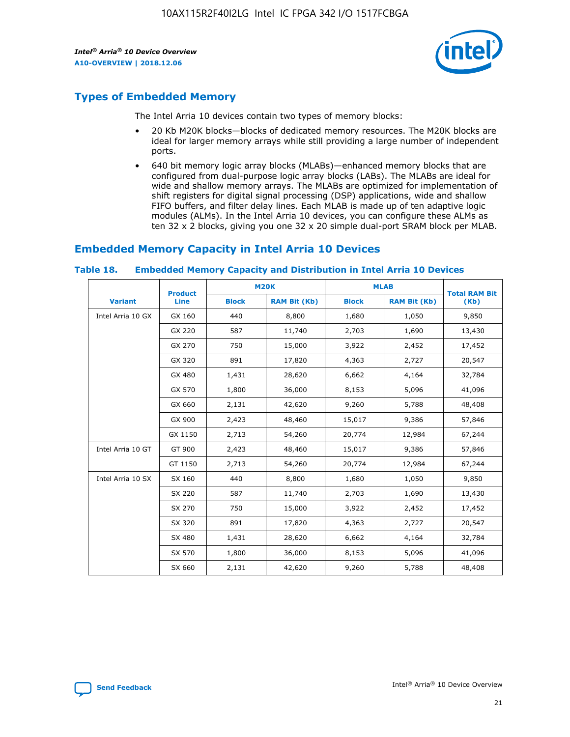

# **Types of Embedded Memory**

The Intel Arria 10 devices contain two types of memory blocks:

- 20 Kb M20K blocks—blocks of dedicated memory resources. The M20K blocks are ideal for larger memory arrays while still providing a large number of independent ports.
- 640 bit memory logic array blocks (MLABs)—enhanced memory blocks that are configured from dual-purpose logic array blocks (LABs). The MLABs are ideal for wide and shallow memory arrays. The MLABs are optimized for implementation of shift registers for digital signal processing (DSP) applications, wide and shallow FIFO buffers, and filter delay lines. Each MLAB is made up of ten adaptive logic modules (ALMs). In the Intel Arria 10 devices, you can configure these ALMs as ten 32 x 2 blocks, giving you one 32 x 20 simple dual-port SRAM block per MLAB.

# **Embedded Memory Capacity in Intel Arria 10 Devices**

|                   | <b>Product</b> |              | <b>M20K</b>         | <b>MLAB</b>  |                     | <b>Total RAM Bit</b> |
|-------------------|----------------|--------------|---------------------|--------------|---------------------|----------------------|
| <b>Variant</b>    | Line           | <b>Block</b> | <b>RAM Bit (Kb)</b> | <b>Block</b> | <b>RAM Bit (Kb)</b> | (Kb)                 |
| Intel Arria 10 GX | GX 160         | 440          | 8,800               | 1,680        | 1,050               | 9,850                |
|                   | GX 220         | 587          | 11,740              | 2,703        | 1,690               | 13,430               |
|                   | GX 270         | 750          | 15,000              | 3,922        | 2,452               | 17,452               |
|                   | GX 320         | 891          | 17,820              | 4,363        | 2,727               | 20,547               |
|                   | GX 480         | 1,431        | 28,620              | 6,662        | 4,164               | 32,784               |
|                   | GX 570         | 1,800        | 36,000              | 8,153        | 5,096               | 41,096               |
|                   | GX 660         | 2,131        | 42,620              | 9,260        | 5,788               | 48,408               |
|                   | GX 900         | 2,423        | 48,460              | 15,017       | 9,386               | 57,846               |
|                   | GX 1150        | 2,713        | 54,260              | 20,774       | 12,984              | 67,244               |
| Intel Arria 10 GT | GT 900         | 2,423        | 48,460              | 15,017       | 9,386               | 57,846               |
|                   | GT 1150        | 2,713        | 54,260              | 20,774       | 12,984              | 67,244               |
| Intel Arria 10 SX | SX 160         | 440          | 8,800               | 1,680        | 1,050               | 9,850                |
|                   | SX 220         | 587          | 11,740              | 2,703        | 1,690               | 13,430               |
|                   | SX 270         | 750          | 15,000              | 3,922        | 2,452               | 17,452               |
|                   | SX 320         | 891          | 17,820              | 4,363        | 2,727               | 20,547               |
|                   | SX 480         | 1,431        | 28,620              | 6,662        | 4,164               | 32,784               |
|                   | SX 570         | 1,800        | 36,000              | 8,153        | 5,096               | 41,096               |
|                   | SX 660         | 2,131        | 42,620              | 9,260        | 5,788               | 48,408               |

#### **Table 18. Embedded Memory Capacity and Distribution in Intel Arria 10 Devices**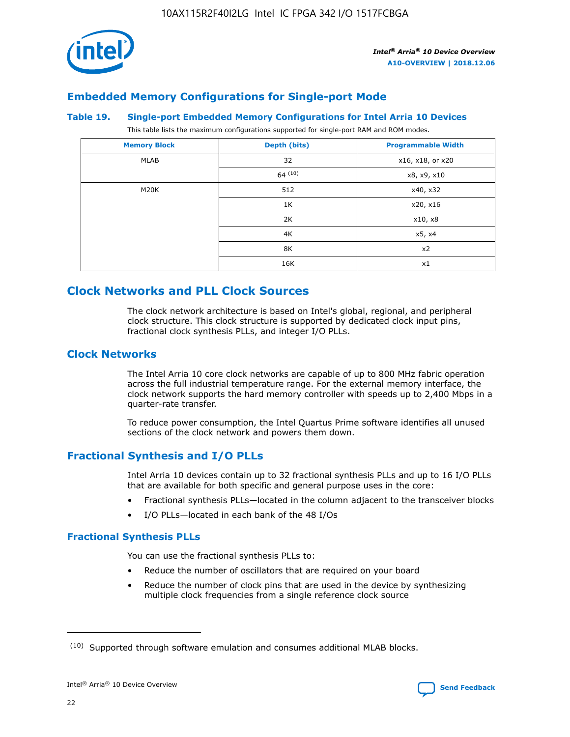

# **Embedded Memory Configurations for Single-port Mode**

#### **Table 19. Single-port Embedded Memory Configurations for Intel Arria 10 Devices**

This table lists the maximum configurations supported for single-port RAM and ROM modes.

| <b>Memory Block</b> | Depth (bits) | <b>Programmable Width</b> |
|---------------------|--------------|---------------------------|
| MLAB                | 32           | x16, x18, or x20          |
|                     | 64(10)       | x8, x9, x10               |
| M20K                | 512          | x40, x32                  |
|                     | 1K           | x20, x16                  |
|                     | 2K           | x10, x8                   |
|                     | 4K           | x5, x4                    |
|                     | 8K           | x2                        |
|                     | 16K          | x1                        |

# **Clock Networks and PLL Clock Sources**

The clock network architecture is based on Intel's global, regional, and peripheral clock structure. This clock structure is supported by dedicated clock input pins, fractional clock synthesis PLLs, and integer I/O PLLs.

# **Clock Networks**

The Intel Arria 10 core clock networks are capable of up to 800 MHz fabric operation across the full industrial temperature range. For the external memory interface, the clock network supports the hard memory controller with speeds up to 2,400 Mbps in a quarter-rate transfer.

To reduce power consumption, the Intel Quartus Prime software identifies all unused sections of the clock network and powers them down.

# **Fractional Synthesis and I/O PLLs**

Intel Arria 10 devices contain up to 32 fractional synthesis PLLs and up to 16 I/O PLLs that are available for both specific and general purpose uses in the core:

- Fractional synthesis PLLs—located in the column adjacent to the transceiver blocks
- I/O PLLs—located in each bank of the 48 I/Os

## **Fractional Synthesis PLLs**

You can use the fractional synthesis PLLs to:

- Reduce the number of oscillators that are required on your board
- Reduce the number of clock pins that are used in the device by synthesizing multiple clock frequencies from a single reference clock source

<sup>(10)</sup> Supported through software emulation and consumes additional MLAB blocks.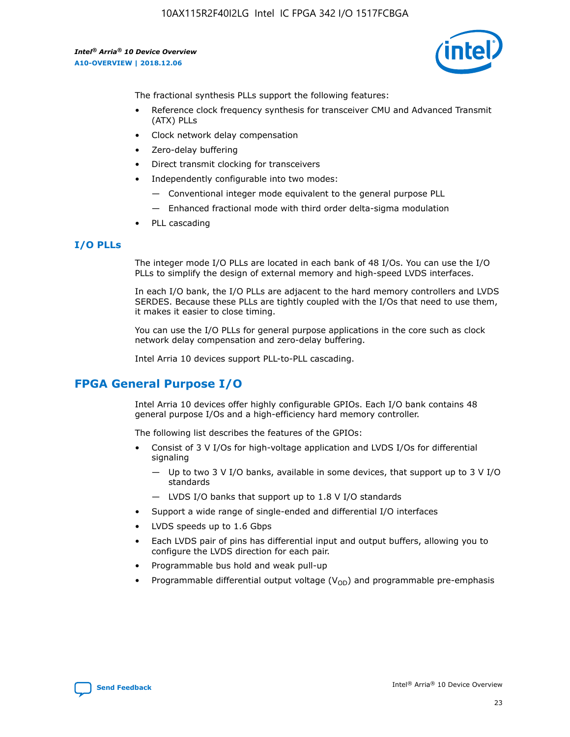

The fractional synthesis PLLs support the following features:

- Reference clock frequency synthesis for transceiver CMU and Advanced Transmit (ATX) PLLs
- Clock network delay compensation
- Zero-delay buffering
- Direct transmit clocking for transceivers
- Independently configurable into two modes:
	- Conventional integer mode equivalent to the general purpose PLL
	- Enhanced fractional mode with third order delta-sigma modulation
- PLL cascading

## **I/O PLLs**

The integer mode I/O PLLs are located in each bank of 48 I/Os. You can use the I/O PLLs to simplify the design of external memory and high-speed LVDS interfaces.

In each I/O bank, the I/O PLLs are adjacent to the hard memory controllers and LVDS SERDES. Because these PLLs are tightly coupled with the I/Os that need to use them, it makes it easier to close timing.

You can use the I/O PLLs for general purpose applications in the core such as clock network delay compensation and zero-delay buffering.

Intel Arria 10 devices support PLL-to-PLL cascading.

# **FPGA General Purpose I/O**

Intel Arria 10 devices offer highly configurable GPIOs. Each I/O bank contains 48 general purpose I/Os and a high-efficiency hard memory controller.

The following list describes the features of the GPIOs:

- Consist of 3 V I/Os for high-voltage application and LVDS I/Os for differential signaling
	- Up to two 3 V I/O banks, available in some devices, that support up to 3 V I/O standards
	- LVDS I/O banks that support up to 1.8 V I/O standards
- Support a wide range of single-ended and differential I/O interfaces
- LVDS speeds up to 1.6 Gbps
- Each LVDS pair of pins has differential input and output buffers, allowing you to configure the LVDS direction for each pair.
- Programmable bus hold and weak pull-up
- Programmable differential output voltage  $(V_{OD})$  and programmable pre-emphasis

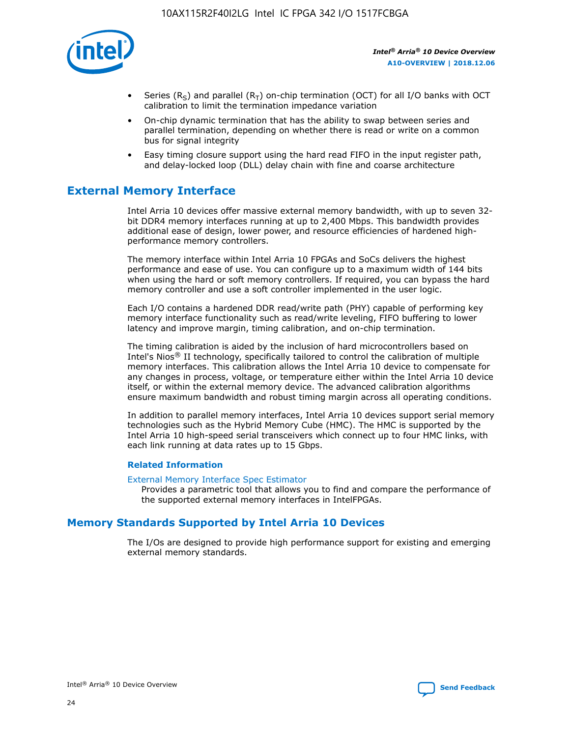

- Series (R<sub>S</sub>) and parallel (R<sub>T</sub>) on-chip termination (OCT) for all I/O banks with OCT calibration to limit the termination impedance variation
- On-chip dynamic termination that has the ability to swap between series and parallel termination, depending on whether there is read or write on a common bus for signal integrity
- Easy timing closure support using the hard read FIFO in the input register path, and delay-locked loop (DLL) delay chain with fine and coarse architecture

# **External Memory Interface**

Intel Arria 10 devices offer massive external memory bandwidth, with up to seven 32 bit DDR4 memory interfaces running at up to 2,400 Mbps. This bandwidth provides additional ease of design, lower power, and resource efficiencies of hardened highperformance memory controllers.

The memory interface within Intel Arria 10 FPGAs and SoCs delivers the highest performance and ease of use. You can configure up to a maximum width of 144 bits when using the hard or soft memory controllers. If required, you can bypass the hard memory controller and use a soft controller implemented in the user logic.

Each I/O contains a hardened DDR read/write path (PHY) capable of performing key memory interface functionality such as read/write leveling, FIFO buffering to lower latency and improve margin, timing calibration, and on-chip termination.

The timing calibration is aided by the inclusion of hard microcontrollers based on Intel's Nios® II technology, specifically tailored to control the calibration of multiple memory interfaces. This calibration allows the Intel Arria 10 device to compensate for any changes in process, voltage, or temperature either within the Intel Arria 10 device itself, or within the external memory device. The advanced calibration algorithms ensure maximum bandwidth and robust timing margin across all operating conditions.

In addition to parallel memory interfaces, Intel Arria 10 devices support serial memory technologies such as the Hybrid Memory Cube (HMC). The HMC is supported by the Intel Arria 10 high-speed serial transceivers which connect up to four HMC links, with each link running at data rates up to 15 Gbps.

#### **Related Information**

#### [External Memory Interface Spec Estimator](http://www.altera.com/technology/memory/estimator/mem-emif-index.html)

Provides a parametric tool that allows you to find and compare the performance of the supported external memory interfaces in IntelFPGAs.

# **Memory Standards Supported by Intel Arria 10 Devices**

The I/Os are designed to provide high performance support for existing and emerging external memory standards.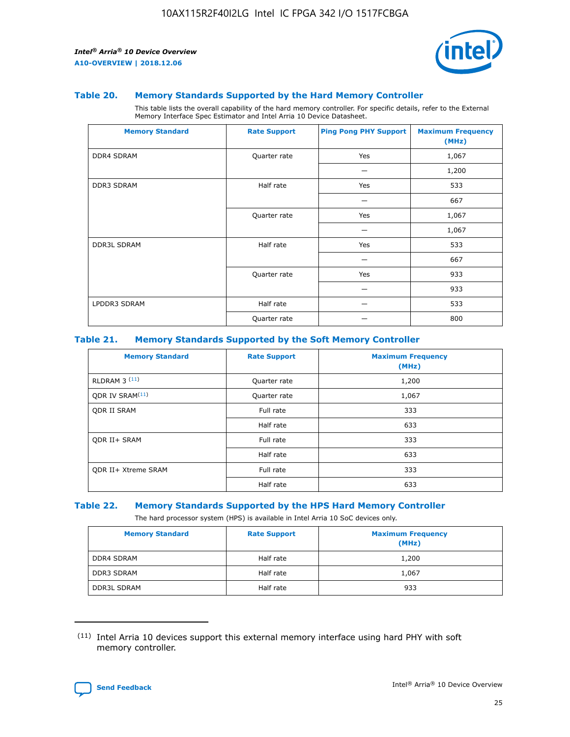

#### **Table 20. Memory Standards Supported by the Hard Memory Controller**

This table lists the overall capability of the hard memory controller. For specific details, refer to the External Memory Interface Spec Estimator and Intel Arria 10 Device Datasheet.

| <b>Memory Standard</b> | <b>Rate Support</b> | <b>Ping Pong PHY Support</b> | <b>Maximum Frequency</b><br>(MHz) |
|------------------------|---------------------|------------------------------|-----------------------------------|
| <b>DDR4 SDRAM</b>      | Quarter rate        | Yes                          | 1,067                             |
|                        |                     |                              | 1,200                             |
| <b>DDR3 SDRAM</b>      | Half rate           | Yes                          | 533                               |
|                        |                     |                              | 667                               |
|                        | Quarter rate        | Yes                          | 1,067                             |
|                        |                     |                              | 1,067                             |
| <b>DDR3L SDRAM</b>     | Half rate           | Yes                          | 533                               |
|                        |                     |                              | 667                               |
|                        | Quarter rate        | Yes                          | 933                               |
|                        |                     |                              | 933                               |
| LPDDR3 SDRAM           | Half rate           |                              | 533                               |
|                        | Quarter rate        |                              | 800                               |

#### **Table 21. Memory Standards Supported by the Soft Memory Controller**

| <b>Memory Standard</b>      | <b>Rate Support</b> | <b>Maximum Frequency</b><br>(MHz) |
|-----------------------------|---------------------|-----------------------------------|
| <b>RLDRAM 3 (11)</b>        | Quarter rate        | 1,200                             |
| ODR IV SRAM <sup>(11)</sup> | Quarter rate        | 1,067                             |
| <b>ODR II SRAM</b>          | Full rate           | 333                               |
|                             | Half rate           | 633                               |
| <b>ODR II+ SRAM</b>         | Full rate           | 333                               |
|                             | Half rate           | 633                               |
| <b>ODR II+ Xtreme SRAM</b>  | Full rate           | 333                               |
|                             | Half rate           | 633                               |

#### **Table 22. Memory Standards Supported by the HPS Hard Memory Controller**

The hard processor system (HPS) is available in Intel Arria 10 SoC devices only.

| <b>Memory Standard</b> | <b>Rate Support</b> | <b>Maximum Frequency</b><br>(MHz) |
|------------------------|---------------------|-----------------------------------|
| <b>DDR4 SDRAM</b>      | Half rate           | 1,200                             |
| <b>DDR3 SDRAM</b>      | Half rate           | 1,067                             |
| <b>DDR3L SDRAM</b>     | Half rate           | 933                               |

<sup>(11)</sup> Intel Arria 10 devices support this external memory interface using hard PHY with soft memory controller.

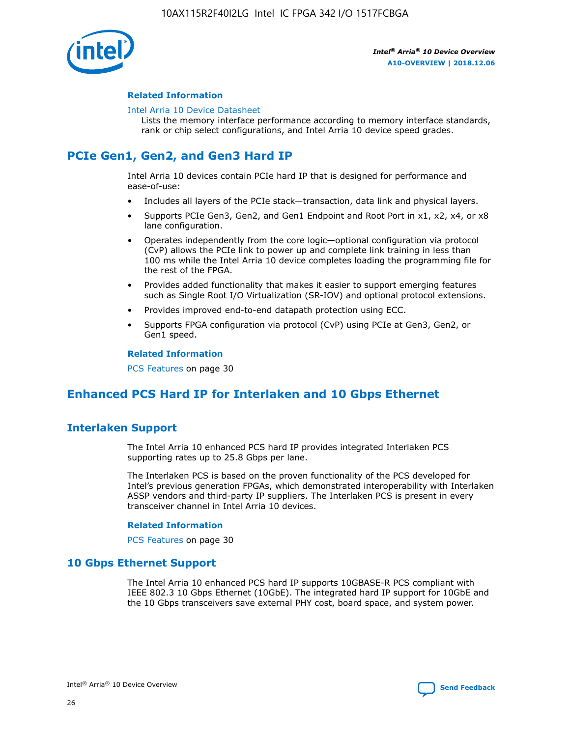

#### **Related Information**

#### [Intel Arria 10 Device Datasheet](https://www.intel.com/content/www/us/en/programmable/documentation/mcn1413182292568.html#mcn1413182153340)

Lists the memory interface performance according to memory interface standards, rank or chip select configurations, and Intel Arria 10 device speed grades.

# **PCIe Gen1, Gen2, and Gen3 Hard IP**

Intel Arria 10 devices contain PCIe hard IP that is designed for performance and ease-of-use:

- Includes all layers of the PCIe stack—transaction, data link and physical layers.
- Supports PCIe Gen3, Gen2, and Gen1 Endpoint and Root Port in x1, x2, x4, or x8 lane configuration.
- Operates independently from the core logic—optional configuration via protocol (CvP) allows the PCIe link to power up and complete link training in less than 100 ms while the Intel Arria 10 device completes loading the programming file for the rest of the FPGA.
- Provides added functionality that makes it easier to support emerging features such as Single Root I/O Virtualization (SR-IOV) and optional protocol extensions.
- Provides improved end-to-end datapath protection using ECC.
- Supports FPGA configuration via protocol (CvP) using PCIe at Gen3, Gen2, or Gen1 speed.

#### **Related Information**

PCS Features on page 30

# **Enhanced PCS Hard IP for Interlaken and 10 Gbps Ethernet**

# **Interlaken Support**

The Intel Arria 10 enhanced PCS hard IP provides integrated Interlaken PCS supporting rates up to 25.8 Gbps per lane.

The Interlaken PCS is based on the proven functionality of the PCS developed for Intel's previous generation FPGAs, which demonstrated interoperability with Interlaken ASSP vendors and third-party IP suppliers. The Interlaken PCS is present in every transceiver channel in Intel Arria 10 devices.

#### **Related Information**

PCS Features on page 30

## **10 Gbps Ethernet Support**

The Intel Arria 10 enhanced PCS hard IP supports 10GBASE-R PCS compliant with IEEE 802.3 10 Gbps Ethernet (10GbE). The integrated hard IP support for 10GbE and the 10 Gbps transceivers save external PHY cost, board space, and system power.

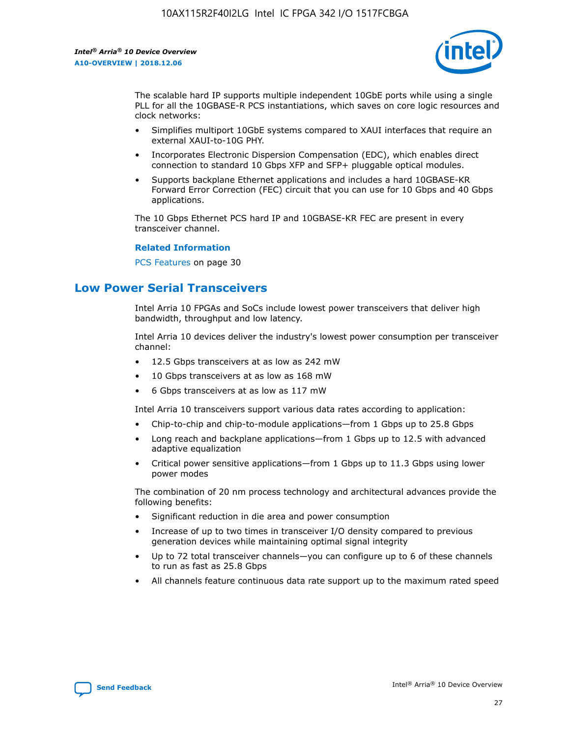

The scalable hard IP supports multiple independent 10GbE ports while using a single PLL for all the 10GBASE-R PCS instantiations, which saves on core logic resources and clock networks:

- Simplifies multiport 10GbE systems compared to XAUI interfaces that require an external XAUI-to-10G PHY.
- Incorporates Electronic Dispersion Compensation (EDC), which enables direct connection to standard 10 Gbps XFP and SFP+ pluggable optical modules.
- Supports backplane Ethernet applications and includes a hard 10GBASE-KR Forward Error Correction (FEC) circuit that you can use for 10 Gbps and 40 Gbps applications.

The 10 Gbps Ethernet PCS hard IP and 10GBASE-KR FEC are present in every transceiver channel.

#### **Related Information**

PCS Features on page 30

# **Low Power Serial Transceivers**

Intel Arria 10 FPGAs and SoCs include lowest power transceivers that deliver high bandwidth, throughput and low latency.

Intel Arria 10 devices deliver the industry's lowest power consumption per transceiver channel:

- 12.5 Gbps transceivers at as low as 242 mW
- 10 Gbps transceivers at as low as 168 mW
- 6 Gbps transceivers at as low as 117 mW

Intel Arria 10 transceivers support various data rates according to application:

- Chip-to-chip and chip-to-module applications—from 1 Gbps up to 25.8 Gbps
- Long reach and backplane applications—from 1 Gbps up to 12.5 with advanced adaptive equalization
- Critical power sensitive applications—from 1 Gbps up to 11.3 Gbps using lower power modes

The combination of 20 nm process technology and architectural advances provide the following benefits:

- Significant reduction in die area and power consumption
- Increase of up to two times in transceiver I/O density compared to previous generation devices while maintaining optimal signal integrity
- Up to 72 total transceiver channels—you can configure up to 6 of these channels to run as fast as 25.8 Gbps
- All channels feature continuous data rate support up to the maximum rated speed

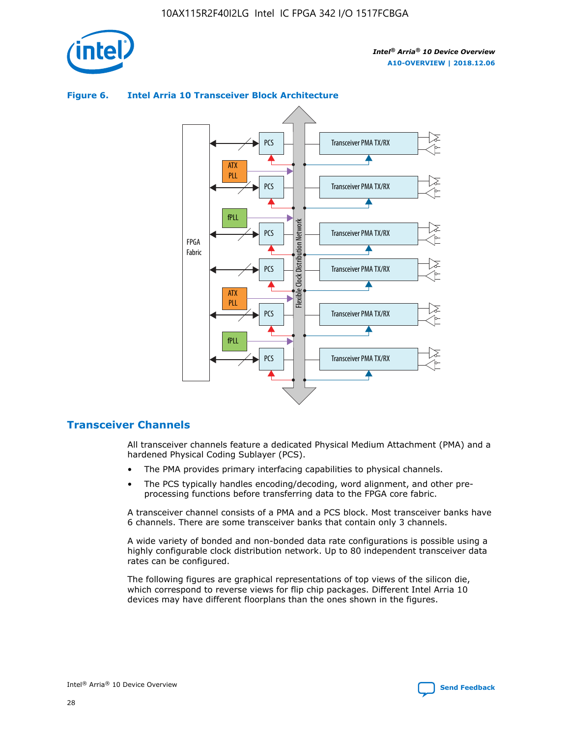

# Transceiver PMA TX/RX PCS ATX PLL Transceiver PMA TX/RX PCS fPLL Network Flexible Clock Distribution Network PCS Transceiver PMA TX/RX FPGA **Clock Distribution** Fabric PCS Transceiver PMA TX/RX ATX Flexible PLL PCS Transceiver PMA TX/RX ▲ fPLL Transceiver PMA TX/RX PCS 4

## **Figure 6. Intel Arria 10 Transceiver Block Architecture**

# **Transceiver Channels**

All transceiver channels feature a dedicated Physical Medium Attachment (PMA) and a hardened Physical Coding Sublayer (PCS).

- The PMA provides primary interfacing capabilities to physical channels.
- The PCS typically handles encoding/decoding, word alignment, and other preprocessing functions before transferring data to the FPGA core fabric.

A transceiver channel consists of a PMA and a PCS block. Most transceiver banks have 6 channels. There are some transceiver banks that contain only 3 channels.

A wide variety of bonded and non-bonded data rate configurations is possible using a highly configurable clock distribution network. Up to 80 independent transceiver data rates can be configured.

The following figures are graphical representations of top views of the silicon die, which correspond to reverse views for flip chip packages. Different Intel Arria 10 devices may have different floorplans than the ones shown in the figures.

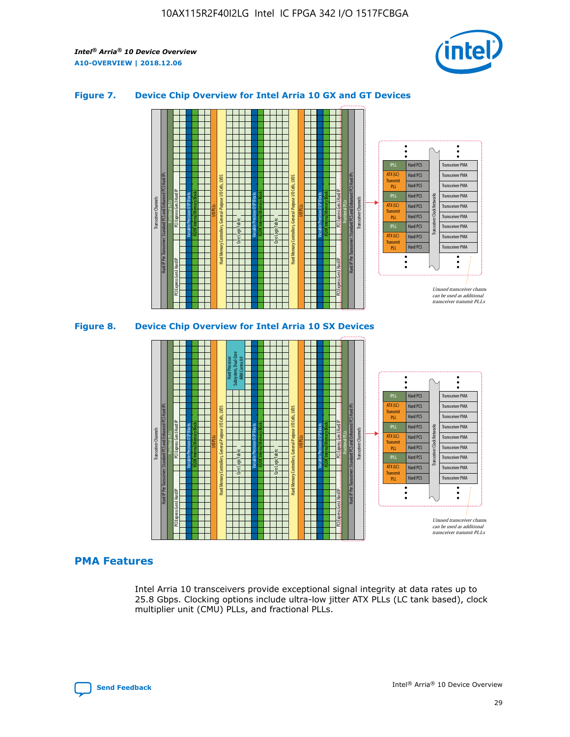

## **Figure 7. Device Chip Overview for Intel Arria 10 GX and GT Devices**





## **PMA Features**

Intel Arria 10 transceivers provide exceptional signal integrity at data rates up to 25.8 Gbps. Clocking options include ultra-low jitter ATX PLLs (LC tank based), clock multiplier unit (CMU) PLLs, and fractional PLLs.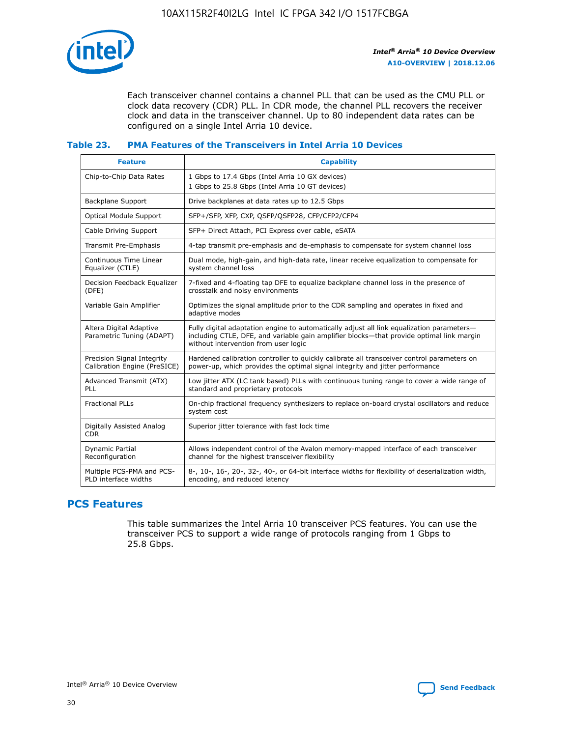

Each transceiver channel contains a channel PLL that can be used as the CMU PLL or clock data recovery (CDR) PLL. In CDR mode, the channel PLL recovers the receiver clock and data in the transceiver channel. Up to 80 independent data rates can be configured on a single Intel Arria 10 device.

# **Table 23. PMA Features of the Transceivers in Intel Arria 10 Devices**

| <b>Feature</b>                                             | <b>Capability</b>                                                                                                                                                                                                             |
|------------------------------------------------------------|-------------------------------------------------------------------------------------------------------------------------------------------------------------------------------------------------------------------------------|
| Chip-to-Chip Data Rates                                    | 1 Gbps to 17.4 Gbps (Intel Arria 10 GX devices)<br>1 Gbps to 25.8 Gbps (Intel Arria 10 GT devices)                                                                                                                            |
| <b>Backplane Support</b>                                   | Drive backplanes at data rates up to 12.5 Gbps                                                                                                                                                                                |
| <b>Optical Module Support</b>                              | SFP+/SFP, XFP, CXP, QSFP/QSFP28, CFP/CFP2/CFP4                                                                                                                                                                                |
| Cable Driving Support                                      | SFP+ Direct Attach, PCI Express over cable, eSATA                                                                                                                                                                             |
| Transmit Pre-Emphasis                                      | 4-tap transmit pre-emphasis and de-emphasis to compensate for system channel loss                                                                                                                                             |
| Continuous Time Linear<br>Equalizer (CTLE)                 | Dual mode, high-gain, and high-data rate, linear receive equalization to compensate for<br>system channel loss                                                                                                                |
| Decision Feedback Equalizer<br>(DFE)                       | 7-fixed and 4-floating tap DFE to equalize backplane channel loss in the presence of<br>crosstalk and noisy environments                                                                                                      |
| Variable Gain Amplifier                                    | Optimizes the signal amplitude prior to the CDR sampling and operates in fixed and<br>adaptive modes                                                                                                                          |
| Altera Digital Adaptive<br>Parametric Tuning (ADAPT)       | Fully digital adaptation engine to automatically adjust all link equalization parameters-<br>including CTLE, DFE, and variable gain amplifier blocks—that provide optimal link margin<br>without intervention from user logic |
| Precision Signal Integrity<br>Calibration Engine (PreSICE) | Hardened calibration controller to quickly calibrate all transceiver control parameters on<br>power-up, which provides the optimal signal integrity and jitter performance                                                    |
| Advanced Transmit (ATX)<br>PLL                             | Low jitter ATX (LC tank based) PLLs with continuous tuning range to cover a wide range of<br>standard and proprietary protocols                                                                                               |
| <b>Fractional PLLs</b>                                     | On-chip fractional frequency synthesizers to replace on-board crystal oscillators and reduce<br>system cost                                                                                                                   |
| Digitally Assisted Analog<br><b>CDR</b>                    | Superior jitter tolerance with fast lock time                                                                                                                                                                                 |
| Dynamic Partial<br>Reconfiguration                         | Allows independent control of the Avalon memory-mapped interface of each transceiver<br>channel for the highest transceiver flexibility                                                                                       |
| Multiple PCS-PMA and PCS-<br>PLD interface widths          | 8-, 10-, 16-, 20-, 32-, 40-, or 64-bit interface widths for flexibility of deserialization width,<br>encoding, and reduced latency                                                                                            |

# **PCS Features**

This table summarizes the Intel Arria 10 transceiver PCS features. You can use the transceiver PCS to support a wide range of protocols ranging from 1 Gbps to 25.8 Gbps.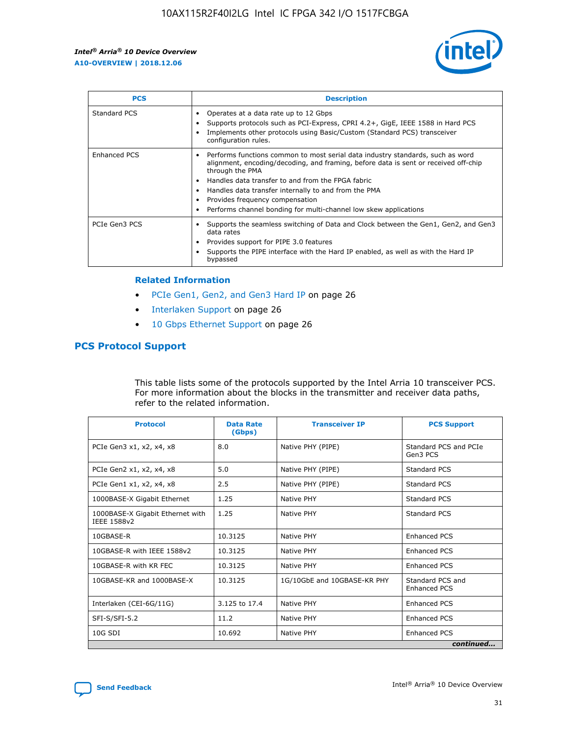

| <b>PCS</b>          | <b>Description</b>                                                                                                                                                                                                                                                                                                                                                                                             |
|---------------------|----------------------------------------------------------------------------------------------------------------------------------------------------------------------------------------------------------------------------------------------------------------------------------------------------------------------------------------------------------------------------------------------------------------|
| Standard PCS        | Operates at a data rate up to 12 Gbps<br>Supports protocols such as PCI-Express, CPRI 4.2+, GigE, IEEE 1588 in Hard PCS<br>Implements other protocols using Basic/Custom (Standard PCS) transceiver<br>configuration rules.                                                                                                                                                                                    |
| <b>Enhanced PCS</b> | Performs functions common to most serial data industry standards, such as word<br>alignment, encoding/decoding, and framing, before data is sent or received off-chip<br>through the PMA<br>• Handles data transfer to and from the FPGA fabric<br>Handles data transfer internally to and from the PMA<br>Provides frequency compensation<br>Performs channel bonding for multi-channel low skew applications |
| PCIe Gen3 PCS       | Supports the seamless switching of Data and Clock between the Gen1, Gen2, and Gen3<br>data rates<br>Provides support for PIPE 3.0 features<br>Supports the PIPE interface with the Hard IP enabled, as well as with the Hard IP<br>bypassed                                                                                                                                                                    |

#### **Related Information**

- PCIe Gen1, Gen2, and Gen3 Hard IP on page 26
- Interlaken Support on page 26
- 10 Gbps Ethernet Support on page 26

# **PCS Protocol Support**

This table lists some of the protocols supported by the Intel Arria 10 transceiver PCS. For more information about the blocks in the transmitter and receiver data paths, refer to the related information.

| <b>Protocol</b>                                 | <b>Data Rate</b><br>(Gbps) | <b>Transceiver IP</b>       | <b>PCS Support</b>                      |
|-------------------------------------------------|----------------------------|-----------------------------|-----------------------------------------|
| PCIe Gen3 x1, x2, x4, x8                        | 8.0                        | Native PHY (PIPE)           | Standard PCS and PCIe<br>Gen3 PCS       |
| PCIe Gen2 x1, x2, x4, x8                        | 5.0                        | Native PHY (PIPE)           | <b>Standard PCS</b>                     |
| PCIe Gen1 x1, x2, x4, x8                        | 2.5                        | Native PHY (PIPE)           | Standard PCS                            |
| 1000BASE-X Gigabit Ethernet                     | 1.25                       | Native PHY                  | <b>Standard PCS</b>                     |
| 1000BASE-X Gigabit Ethernet with<br>IEEE 1588v2 | 1.25                       | Native PHY                  | Standard PCS                            |
| 10GBASE-R                                       | 10.3125                    | Native PHY                  | <b>Enhanced PCS</b>                     |
| 10GBASE-R with IEEE 1588v2                      | 10.3125                    | Native PHY                  | <b>Enhanced PCS</b>                     |
| 10GBASE-R with KR FEC                           | 10.3125                    | Native PHY                  | <b>Enhanced PCS</b>                     |
| 10GBASE-KR and 1000BASE-X                       | 10.3125                    | 1G/10GbE and 10GBASE-KR PHY | Standard PCS and<br><b>Enhanced PCS</b> |
| Interlaken (CEI-6G/11G)                         | 3.125 to 17.4              | Native PHY                  | <b>Enhanced PCS</b>                     |
| SFI-S/SFI-5.2                                   | 11.2                       | Native PHY                  | <b>Enhanced PCS</b>                     |
| $10G$ SDI                                       | 10.692                     | Native PHY                  | <b>Enhanced PCS</b>                     |
|                                                 |                            |                             | continued                               |



**[Send Feedback](mailto:FPGAtechdocfeedback@intel.com?subject=Feedback%20on%20Intel%20Arria%2010%20Device%20Overview%20(A10-OVERVIEW%202018.12.06)&body=We%20appreciate%20your%20feedback.%20In%20your%20comments,%20also%20specify%20the%20page%20number%20or%20paragraph.%20Thank%20you.) Intel®** Arria<sup>®</sup> 10 Device Overview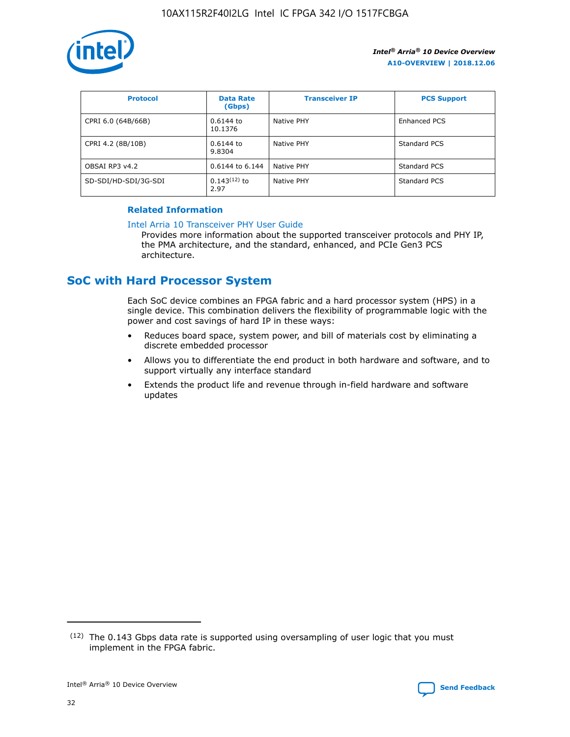

| <b>Protocol</b>      | <b>Data Rate</b><br>(Gbps) | <b>Transceiver IP</b> | <b>PCS Support</b> |
|----------------------|----------------------------|-----------------------|--------------------|
| CPRI 6.0 (64B/66B)   | 0.6144 to<br>10.1376       | Native PHY            | Enhanced PCS       |
| CPRI 4.2 (8B/10B)    | 0.6144 to<br>9.8304        | Native PHY            | Standard PCS       |
| OBSAI RP3 v4.2       | 0.6144 to 6.144            | Native PHY            | Standard PCS       |
| SD-SDI/HD-SDI/3G-SDI | $0.143(12)$ to<br>2.97     | Native PHY            | Standard PCS       |

## **Related Information**

#### [Intel Arria 10 Transceiver PHY User Guide](https://www.intel.com/content/www/us/en/programmable/documentation/nik1398707230472.html#nik1398707091164)

Provides more information about the supported transceiver protocols and PHY IP, the PMA architecture, and the standard, enhanced, and PCIe Gen3 PCS architecture.

# **SoC with Hard Processor System**

Each SoC device combines an FPGA fabric and a hard processor system (HPS) in a single device. This combination delivers the flexibility of programmable logic with the power and cost savings of hard IP in these ways:

- Reduces board space, system power, and bill of materials cost by eliminating a discrete embedded processor
- Allows you to differentiate the end product in both hardware and software, and to support virtually any interface standard
- Extends the product life and revenue through in-field hardware and software updates

<sup>(12)</sup> The 0.143 Gbps data rate is supported using oversampling of user logic that you must implement in the FPGA fabric.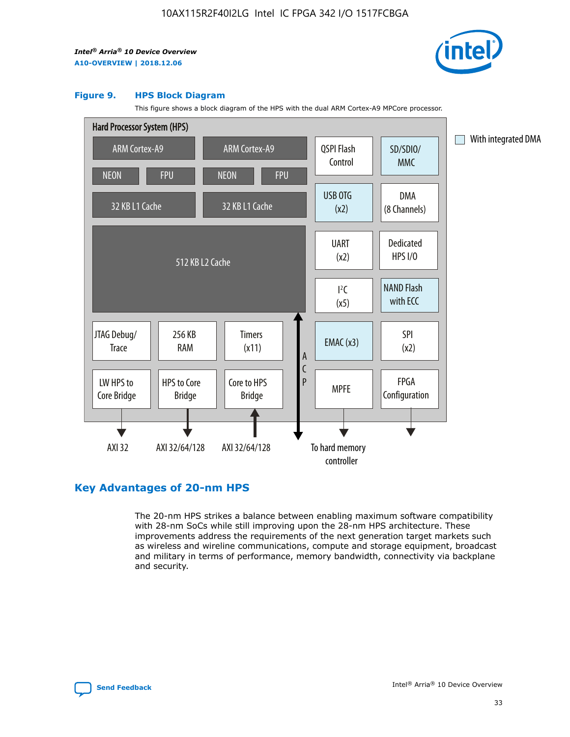

#### **Figure 9. HPS Block Diagram**

This figure shows a block diagram of the HPS with the dual ARM Cortex-A9 MPCore processor.



# **Key Advantages of 20-nm HPS**

The 20-nm HPS strikes a balance between enabling maximum software compatibility with 28-nm SoCs while still improving upon the 28-nm HPS architecture. These improvements address the requirements of the next generation target markets such as wireless and wireline communications, compute and storage equipment, broadcast and military in terms of performance, memory bandwidth, connectivity via backplane and security.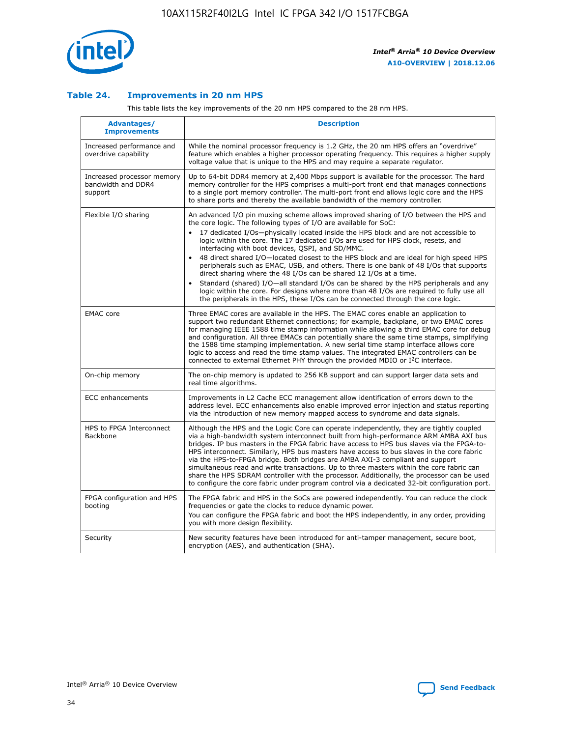

## **Table 24. Improvements in 20 nm HPS**

This table lists the key improvements of the 20 nm HPS compared to the 28 nm HPS.

| Advantages/<br><b>Improvements</b>                          | <b>Description</b>                                                                                                                                                                                                                                                                                                                                                                                                                                                                                                                                                                                                                                                                                                                                                                                                                                                                                                      |
|-------------------------------------------------------------|-------------------------------------------------------------------------------------------------------------------------------------------------------------------------------------------------------------------------------------------------------------------------------------------------------------------------------------------------------------------------------------------------------------------------------------------------------------------------------------------------------------------------------------------------------------------------------------------------------------------------------------------------------------------------------------------------------------------------------------------------------------------------------------------------------------------------------------------------------------------------------------------------------------------------|
| Increased performance and<br>overdrive capability           | While the nominal processor frequency is 1.2 GHz, the 20 nm HPS offers an "overdrive"<br>feature which enables a higher processor operating frequency. This requires a higher supply<br>voltage value that is unique to the HPS and may require a separate regulator.                                                                                                                                                                                                                                                                                                                                                                                                                                                                                                                                                                                                                                                   |
| Increased processor memory<br>bandwidth and DDR4<br>support | Up to 64-bit DDR4 memory at 2,400 Mbps support is available for the processor. The hard<br>memory controller for the HPS comprises a multi-port front end that manages connections<br>to a single port memory controller. The multi-port front end allows logic core and the HPS<br>to share ports and thereby the available bandwidth of the memory controller.                                                                                                                                                                                                                                                                                                                                                                                                                                                                                                                                                        |
| Flexible I/O sharing                                        | An advanced I/O pin muxing scheme allows improved sharing of I/O between the HPS and<br>the core logic. The following types of I/O are available for SoC:<br>17 dedicated I/Os-physically located inside the HPS block and are not accessible to<br>logic within the core. The 17 dedicated I/Os are used for HPS clock, resets, and<br>interfacing with boot devices, QSPI, and SD/MMC.<br>48 direct shared I/O-located closest to the HPS block and are ideal for high speed HPS<br>peripherals such as EMAC, USB, and others. There is one bank of 48 I/Os that supports<br>direct sharing where the 48 I/Os can be shared 12 I/Os at a time.<br>Standard (shared) I/O-all standard I/Os can be shared by the HPS peripherals and any<br>logic within the core. For designs where more than 48 I/Os are required to fully use all<br>the peripherals in the HPS, these I/Os can be connected through the core logic. |
| <b>EMAC</b> core                                            | Three EMAC cores are available in the HPS. The EMAC cores enable an application to<br>support two redundant Ethernet connections; for example, backplane, or two EMAC cores<br>for managing IEEE 1588 time stamp information while allowing a third EMAC core for debug<br>and configuration. All three EMACs can potentially share the same time stamps, simplifying<br>the 1588 time stamping implementation. A new serial time stamp interface allows core<br>logic to access and read the time stamp values. The integrated EMAC controllers can be<br>connected to external Ethernet PHY through the provided MDIO or I <sup>2</sup> C interface.                                                                                                                                                                                                                                                                  |
| On-chip memory                                              | The on-chip memory is updated to 256 KB support and can support larger data sets and<br>real time algorithms.                                                                                                                                                                                                                                                                                                                                                                                                                                                                                                                                                                                                                                                                                                                                                                                                           |
| <b>ECC</b> enhancements                                     | Improvements in L2 Cache ECC management allow identification of errors down to the<br>address level. ECC enhancements also enable improved error injection and status reporting<br>via the introduction of new memory mapped access to syndrome and data signals.                                                                                                                                                                                                                                                                                                                                                                                                                                                                                                                                                                                                                                                       |
| HPS to FPGA Interconnect<br><b>Backbone</b>                 | Although the HPS and the Logic Core can operate independently, they are tightly coupled<br>via a high-bandwidth system interconnect built from high-performance ARM AMBA AXI bus<br>bridges. IP bus masters in the FPGA fabric have access to HPS bus slaves via the FPGA-to-<br>HPS interconnect. Similarly, HPS bus masters have access to bus slaves in the core fabric<br>via the HPS-to-FPGA bridge. Both bridges are AMBA AXI-3 compliant and support<br>simultaneous read and write transactions. Up to three masters within the core fabric can<br>share the HPS SDRAM controller with the processor. Additionally, the processor can be used<br>to configure the core fabric under program control via a dedicated 32-bit configuration port.                                                                                                                                                                  |
| FPGA configuration and HPS<br>booting                       | The FPGA fabric and HPS in the SoCs are powered independently. You can reduce the clock<br>frequencies or gate the clocks to reduce dynamic power.<br>You can configure the FPGA fabric and boot the HPS independently, in any order, providing<br>you with more design flexibility.                                                                                                                                                                                                                                                                                                                                                                                                                                                                                                                                                                                                                                    |
| Security                                                    | New security features have been introduced for anti-tamper management, secure boot,<br>encryption (AES), and authentication (SHA).                                                                                                                                                                                                                                                                                                                                                                                                                                                                                                                                                                                                                                                                                                                                                                                      |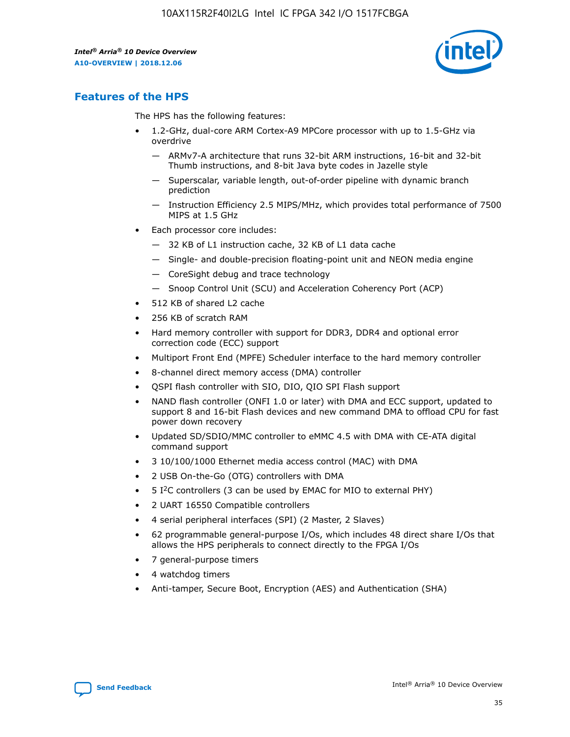

# **Features of the HPS**

The HPS has the following features:

- 1.2-GHz, dual-core ARM Cortex-A9 MPCore processor with up to 1.5-GHz via overdrive
	- ARMv7-A architecture that runs 32-bit ARM instructions, 16-bit and 32-bit Thumb instructions, and 8-bit Java byte codes in Jazelle style
	- Superscalar, variable length, out-of-order pipeline with dynamic branch prediction
	- Instruction Efficiency 2.5 MIPS/MHz, which provides total performance of 7500 MIPS at 1.5 GHz
- Each processor core includes:
	- 32 KB of L1 instruction cache, 32 KB of L1 data cache
	- Single- and double-precision floating-point unit and NEON media engine
	- CoreSight debug and trace technology
	- Snoop Control Unit (SCU) and Acceleration Coherency Port (ACP)
- 512 KB of shared L2 cache
- 256 KB of scratch RAM
- Hard memory controller with support for DDR3, DDR4 and optional error correction code (ECC) support
- Multiport Front End (MPFE) Scheduler interface to the hard memory controller
- 8-channel direct memory access (DMA) controller
- QSPI flash controller with SIO, DIO, QIO SPI Flash support
- NAND flash controller (ONFI 1.0 or later) with DMA and ECC support, updated to support 8 and 16-bit Flash devices and new command DMA to offload CPU for fast power down recovery
- Updated SD/SDIO/MMC controller to eMMC 4.5 with DMA with CE-ATA digital command support
- 3 10/100/1000 Ethernet media access control (MAC) with DMA
- 2 USB On-the-Go (OTG) controllers with DMA
- $\bullet$  5 I<sup>2</sup>C controllers (3 can be used by EMAC for MIO to external PHY)
- 2 UART 16550 Compatible controllers
- 4 serial peripheral interfaces (SPI) (2 Master, 2 Slaves)
- 62 programmable general-purpose I/Os, which includes 48 direct share I/Os that allows the HPS peripherals to connect directly to the FPGA I/Os
- 7 general-purpose timers
- 4 watchdog timers
- Anti-tamper, Secure Boot, Encryption (AES) and Authentication (SHA)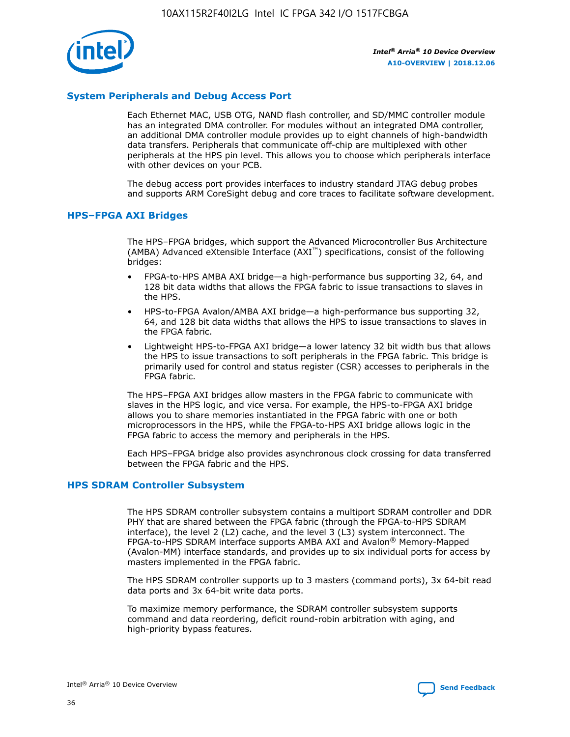

## **System Peripherals and Debug Access Port**

Each Ethernet MAC, USB OTG, NAND flash controller, and SD/MMC controller module has an integrated DMA controller. For modules without an integrated DMA controller, an additional DMA controller module provides up to eight channels of high-bandwidth data transfers. Peripherals that communicate off-chip are multiplexed with other peripherals at the HPS pin level. This allows you to choose which peripherals interface with other devices on your PCB.

The debug access port provides interfaces to industry standard JTAG debug probes and supports ARM CoreSight debug and core traces to facilitate software development.

## **HPS–FPGA AXI Bridges**

The HPS–FPGA bridges, which support the Advanced Microcontroller Bus Architecture (AMBA) Advanced eXtensible Interface (AXI™) specifications, consist of the following bridges:

- FPGA-to-HPS AMBA AXI bridge—a high-performance bus supporting 32, 64, and 128 bit data widths that allows the FPGA fabric to issue transactions to slaves in the HPS.
- HPS-to-FPGA Avalon/AMBA AXI bridge—a high-performance bus supporting 32, 64, and 128 bit data widths that allows the HPS to issue transactions to slaves in the FPGA fabric.
- Lightweight HPS-to-FPGA AXI bridge—a lower latency 32 bit width bus that allows the HPS to issue transactions to soft peripherals in the FPGA fabric. This bridge is primarily used for control and status register (CSR) accesses to peripherals in the FPGA fabric.

The HPS–FPGA AXI bridges allow masters in the FPGA fabric to communicate with slaves in the HPS logic, and vice versa. For example, the HPS-to-FPGA AXI bridge allows you to share memories instantiated in the FPGA fabric with one or both microprocessors in the HPS, while the FPGA-to-HPS AXI bridge allows logic in the FPGA fabric to access the memory and peripherals in the HPS.

Each HPS–FPGA bridge also provides asynchronous clock crossing for data transferred between the FPGA fabric and the HPS.

#### **HPS SDRAM Controller Subsystem**

The HPS SDRAM controller subsystem contains a multiport SDRAM controller and DDR PHY that are shared between the FPGA fabric (through the FPGA-to-HPS SDRAM interface), the level 2 (L2) cache, and the level 3 (L3) system interconnect. The FPGA-to-HPS SDRAM interface supports AMBA AXI and Avalon® Memory-Mapped (Avalon-MM) interface standards, and provides up to six individual ports for access by masters implemented in the FPGA fabric.

The HPS SDRAM controller supports up to 3 masters (command ports), 3x 64-bit read data ports and 3x 64-bit write data ports.

To maximize memory performance, the SDRAM controller subsystem supports command and data reordering, deficit round-robin arbitration with aging, and high-priority bypass features.

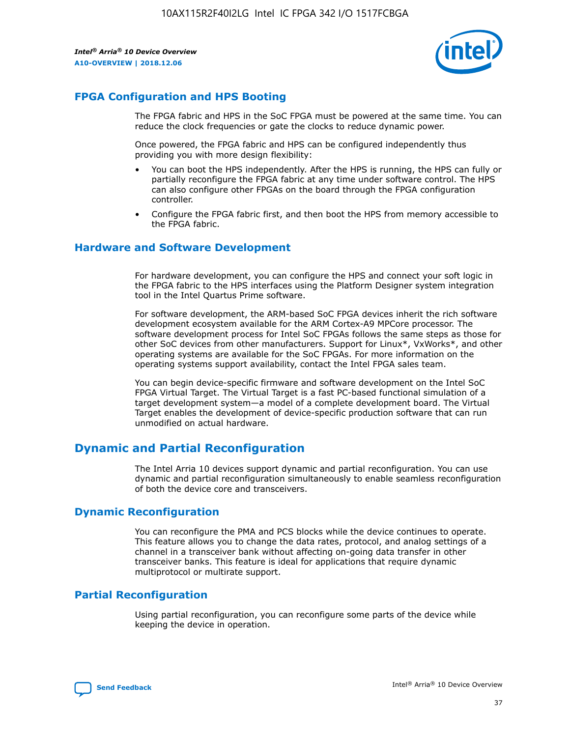

# **FPGA Configuration and HPS Booting**

The FPGA fabric and HPS in the SoC FPGA must be powered at the same time. You can reduce the clock frequencies or gate the clocks to reduce dynamic power.

Once powered, the FPGA fabric and HPS can be configured independently thus providing you with more design flexibility:

- You can boot the HPS independently. After the HPS is running, the HPS can fully or partially reconfigure the FPGA fabric at any time under software control. The HPS can also configure other FPGAs on the board through the FPGA configuration controller.
- Configure the FPGA fabric first, and then boot the HPS from memory accessible to the FPGA fabric.

## **Hardware and Software Development**

For hardware development, you can configure the HPS and connect your soft logic in the FPGA fabric to the HPS interfaces using the Platform Designer system integration tool in the Intel Quartus Prime software.

For software development, the ARM-based SoC FPGA devices inherit the rich software development ecosystem available for the ARM Cortex-A9 MPCore processor. The software development process for Intel SoC FPGAs follows the same steps as those for other SoC devices from other manufacturers. Support for Linux\*, VxWorks\*, and other operating systems are available for the SoC FPGAs. For more information on the operating systems support availability, contact the Intel FPGA sales team.

You can begin device-specific firmware and software development on the Intel SoC FPGA Virtual Target. The Virtual Target is a fast PC-based functional simulation of a target development system—a model of a complete development board. The Virtual Target enables the development of device-specific production software that can run unmodified on actual hardware.

# **Dynamic and Partial Reconfiguration**

The Intel Arria 10 devices support dynamic and partial reconfiguration. You can use dynamic and partial reconfiguration simultaneously to enable seamless reconfiguration of both the device core and transceivers.

# **Dynamic Reconfiguration**

You can reconfigure the PMA and PCS blocks while the device continues to operate. This feature allows you to change the data rates, protocol, and analog settings of a channel in a transceiver bank without affecting on-going data transfer in other transceiver banks. This feature is ideal for applications that require dynamic multiprotocol or multirate support.

# **Partial Reconfiguration**

Using partial reconfiguration, you can reconfigure some parts of the device while keeping the device in operation.

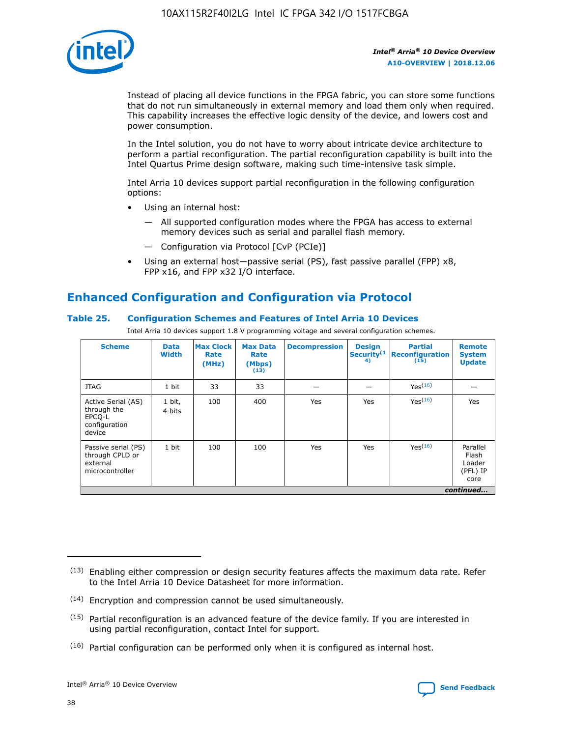

Instead of placing all device functions in the FPGA fabric, you can store some functions that do not run simultaneously in external memory and load them only when required. This capability increases the effective logic density of the device, and lowers cost and power consumption.

In the Intel solution, you do not have to worry about intricate device architecture to perform a partial reconfiguration. The partial reconfiguration capability is built into the Intel Quartus Prime design software, making such time-intensive task simple.

Intel Arria 10 devices support partial reconfiguration in the following configuration options:

- Using an internal host:
	- All supported configuration modes where the FPGA has access to external memory devices such as serial and parallel flash memory.
	- Configuration via Protocol [CvP (PCIe)]
- Using an external host—passive serial (PS), fast passive parallel (FPP) x8, FPP x16, and FPP x32 I/O interface.

# **Enhanced Configuration and Configuration via Protocol**

## **Table 25. Configuration Schemes and Features of Intel Arria 10 Devices**

Intel Arria 10 devices support 1.8 V programming voltage and several configuration schemes.

| <b>Scheme</b>                                                          | <b>Data</b><br><b>Width</b> | <b>Max Clock</b><br>Rate<br>(MHz) | <b>Max Data</b><br>Rate<br>(Mbps)<br>(13) | <b>Decompression</b> | <b>Design</b><br>Security <sup>(1</sup><br>4) | <b>Partial</b><br><b>Reconfiguration</b><br>(15) | <b>Remote</b><br><b>System</b><br><b>Update</b> |
|------------------------------------------------------------------------|-----------------------------|-----------------------------------|-------------------------------------------|----------------------|-----------------------------------------------|--------------------------------------------------|-------------------------------------------------|
| <b>JTAG</b>                                                            | 1 bit                       | 33                                | 33                                        |                      |                                               | Yes(16)                                          |                                                 |
| Active Serial (AS)<br>through the<br>EPCO-L<br>configuration<br>device | 1 bit,<br>4 bits            | 100                               | 400                                       | Yes                  | Yes                                           | $Y_{PS}(16)$                                     | Yes                                             |
| Passive serial (PS)<br>through CPLD or<br>external<br>microcontroller  | 1 bit                       | 100                               | 100                                       | Yes                  | Yes                                           | Yes(16)                                          | Parallel<br>Flash<br>Loader<br>(PFL) IP<br>core |
|                                                                        |                             |                                   |                                           |                      |                                               |                                                  | continued                                       |

<sup>(13)</sup> Enabling either compression or design security features affects the maximum data rate. Refer to the Intel Arria 10 Device Datasheet for more information.

<sup>(14)</sup> Encryption and compression cannot be used simultaneously.

 $(15)$  Partial reconfiguration is an advanced feature of the device family. If you are interested in using partial reconfiguration, contact Intel for support.

 $(16)$  Partial configuration can be performed only when it is configured as internal host.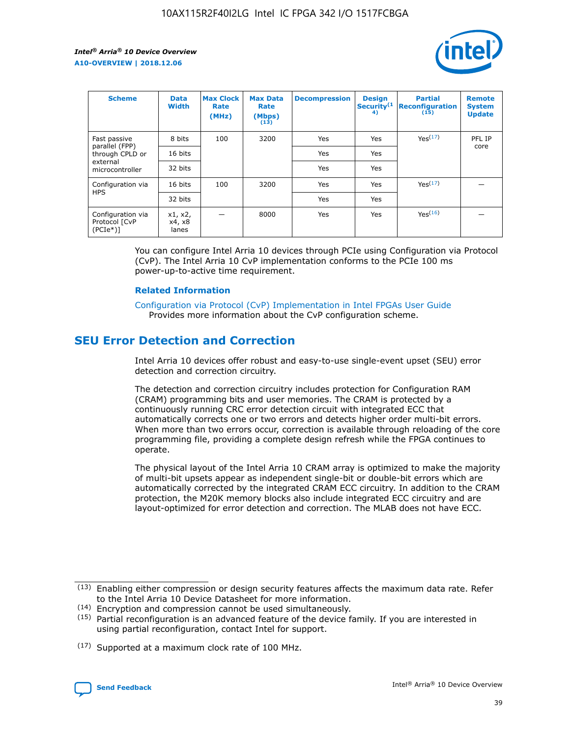

| <b>Scheme</b>                                   | <b>Data</b><br><b>Width</b> | <b>Max Clock</b><br>Rate<br>(MHz) | <b>Max Data</b><br>Rate<br>(Mbps)<br>(13) | <b>Decompression</b> | <b>Design</b><br>Security <sup>(1</sup><br>4) | <b>Partial</b><br><b>Reconfiguration</b><br>(15) | <b>Remote</b><br><b>System</b><br><b>Update</b> |
|-------------------------------------------------|-----------------------------|-----------------------------------|-------------------------------------------|----------------------|-----------------------------------------------|--------------------------------------------------|-------------------------------------------------|
| Fast passive                                    | 8 bits                      | 100                               | 3200                                      | Yes                  | Yes                                           | Yes(17)                                          | PFL IP                                          |
| parallel (FPP)<br>through CPLD or               | 16 bits                     |                                   |                                           | Yes                  | Yes                                           |                                                  | core                                            |
| external<br>microcontroller                     | 32 bits                     |                                   |                                           | Yes                  | Yes                                           |                                                  |                                                 |
| Configuration via                               | 16 bits                     | 100                               | 3200                                      | Yes                  | Yes                                           | Yes <sup>(17)</sup>                              |                                                 |
| <b>HPS</b>                                      | 32 bits                     |                                   |                                           | Yes                  | Yes                                           |                                                  |                                                 |
| Configuration via<br>Protocol [CvP<br>$(PCIe*)$ | x1, x2,<br>x4, x8<br>lanes  |                                   | 8000                                      | Yes                  | Yes                                           | Yes <sup>(16)</sup>                              |                                                 |

You can configure Intel Arria 10 devices through PCIe using Configuration via Protocol (CvP). The Intel Arria 10 CvP implementation conforms to the PCIe 100 ms power-up-to-active time requirement.

#### **Related Information**

[Configuration via Protocol \(CvP\) Implementation in Intel FPGAs User Guide](https://www.intel.com/content/www/us/en/programmable/documentation/dsu1441819344145.html#dsu1442269728522) Provides more information about the CvP configuration scheme.

# **SEU Error Detection and Correction**

Intel Arria 10 devices offer robust and easy-to-use single-event upset (SEU) error detection and correction circuitry.

The detection and correction circuitry includes protection for Configuration RAM (CRAM) programming bits and user memories. The CRAM is protected by a continuously running CRC error detection circuit with integrated ECC that automatically corrects one or two errors and detects higher order multi-bit errors. When more than two errors occur, correction is available through reloading of the core programming file, providing a complete design refresh while the FPGA continues to operate.

The physical layout of the Intel Arria 10 CRAM array is optimized to make the majority of multi-bit upsets appear as independent single-bit or double-bit errors which are automatically corrected by the integrated CRAM ECC circuitry. In addition to the CRAM protection, the M20K memory blocks also include integrated ECC circuitry and are layout-optimized for error detection and correction. The MLAB does not have ECC.

(14) Encryption and compression cannot be used simultaneously.

<sup>(17)</sup> Supported at a maximum clock rate of 100 MHz.



 $(13)$  Enabling either compression or design security features affects the maximum data rate. Refer to the Intel Arria 10 Device Datasheet for more information.

 $(15)$  Partial reconfiguration is an advanced feature of the device family. If you are interested in using partial reconfiguration, contact Intel for support.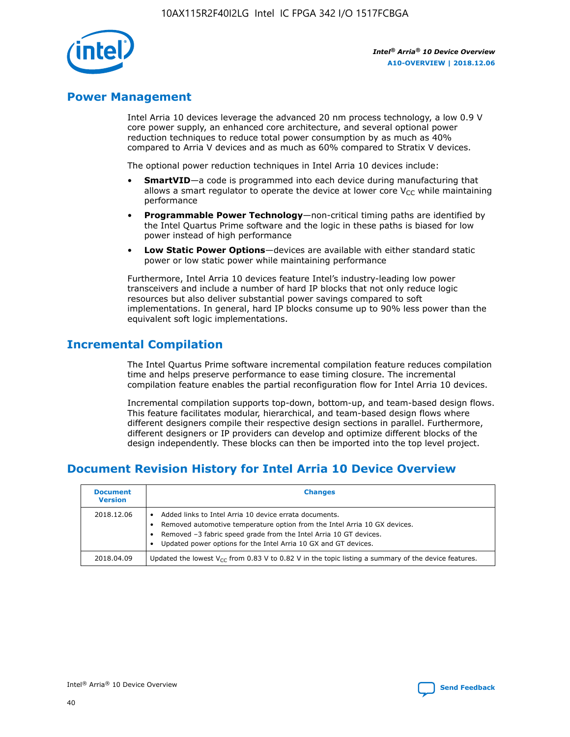

# **Power Management**

Intel Arria 10 devices leverage the advanced 20 nm process technology, a low 0.9 V core power supply, an enhanced core architecture, and several optional power reduction techniques to reduce total power consumption by as much as 40% compared to Arria V devices and as much as 60% compared to Stratix V devices.

The optional power reduction techniques in Intel Arria 10 devices include:

- **SmartVID**—a code is programmed into each device during manufacturing that allows a smart regulator to operate the device at lower core  $V_{CC}$  while maintaining performance
- **Programmable Power Technology**—non-critical timing paths are identified by the Intel Quartus Prime software and the logic in these paths is biased for low power instead of high performance
- **Low Static Power Options**—devices are available with either standard static power or low static power while maintaining performance

Furthermore, Intel Arria 10 devices feature Intel's industry-leading low power transceivers and include a number of hard IP blocks that not only reduce logic resources but also deliver substantial power savings compared to soft implementations. In general, hard IP blocks consume up to 90% less power than the equivalent soft logic implementations.

# **Incremental Compilation**

The Intel Quartus Prime software incremental compilation feature reduces compilation time and helps preserve performance to ease timing closure. The incremental compilation feature enables the partial reconfiguration flow for Intel Arria 10 devices.

Incremental compilation supports top-down, bottom-up, and team-based design flows. This feature facilitates modular, hierarchical, and team-based design flows where different designers compile their respective design sections in parallel. Furthermore, different designers or IP providers can develop and optimize different blocks of the design independently. These blocks can then be imported into the top level project.

# **Document Revision History for Intel Arria 10 Device Overview**

| <b>Document</b><br><b>Version</b> | <b>Changes</b>                                                                                                                                                                                                                                                              |
|-----------------------------------|-----------------------------------------------------------------------------------------------------------------------------------------------------------------------------------------------------------------------------------------------------------------------------|
| 2018.12.06                        | Added links to Intel Arria 10 device errata documents.<br>Removed automotive temperature option from the Intel Arria 10 GX devices.<br>Removed -3 fabric speed grade from the Intel Arria 10 GT devices.<br>Updated power options for the Intel Arria 10 GX and GT devices. |
| 2018.04.09                        | Updated the lowest $V_{CC}$ from 0.83 V to 0.82 V in the topic listing a summary of the device features.                                                                                                                                                                    |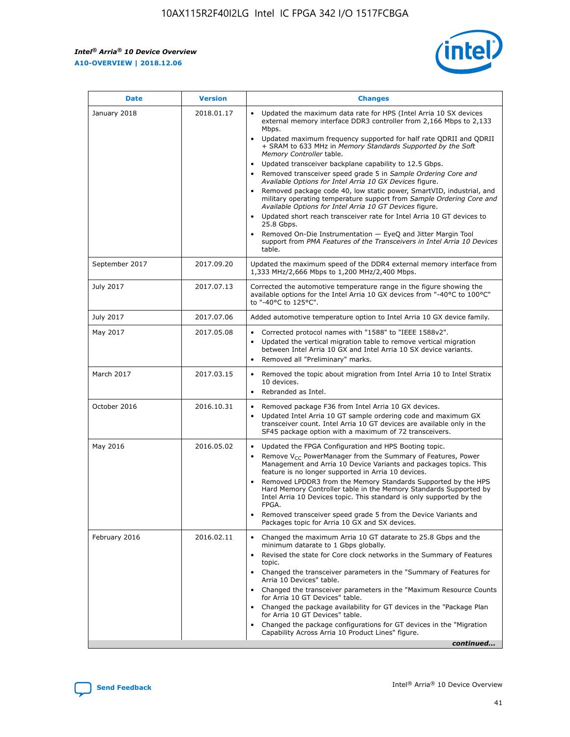

| <b>Date</b>    | <b>Version</b> | <b>Changes</b>                                                                                                                                                                                                                                                                                                                                                                                                                                                                                                                                                                                                                                                                                                                                                                                                                                                                                                                                               |
|----------------|----------------|--------------------------------------------------------------------------------------------------------------------------------------------------------------------------------------------------------------------------------------------------------------------------------------------------------------------------------------------------------------------------------------------------------------------------------------------------------------------------------------------------------------------------------------------------------------------------------------------------------------------------------------------------------------------------------------------------------------------------------------------------------------------------------------------------------------------------------------------------------------------------------------------------------------------------------------------------------------|
| January 2018   | 2018.01.17     | Updated the maximum data rate for HPS (Intel Arria 10 SX devices<br>external memory interface DDR3 controller from 2,166 Mbps to 2,133<br>Mbps.<br>Updated maximum frequency supported for half rate QDRII and QDRII<br>+ SRAM to 633 MHz in Memory Standards Supported by the Soft<br>Memory Controller table.<br>Updated transceiver backplane capability to 12.5 Gbps.<br>Removed transceiver speed grade 5 in Sample Ordering Core and<br>Available Options for Intel Arria 10 GX Devices figure.<br>Removed package code 40, low static power, SmartVID, industrial, and<br>military operating temperature support from Sample Ordering Core and<br>Available Options for Intel Arria 10 GT Devices figure.<br>Updated short reach transceiver rate for Intel Arria 10 GT devices to<br>25.8 Gbps.<br>Removed On-Die Instrumentation - EyeQ and Jitter Margin Tool<br>support from PMA Features of the Transceivers in Intel Arria 10 Devices<br>table. |
| September 2017 | 2017.09.20     | Updated the maximum speed of the DDR4 external memory interface from<br>1,333 MHz/2,666 Mbps to 1,200 MHz/2,400 Mbps.                                                                                                                                                                                                                                                                                                                                                                                                                                                                                                                                                                                                                                                                                                                                                                                                                                        |
| July 2017      | 2017.07.13     | Corrected the automotive temperature range in the figure showing the<br>available options for the Intel Arria 10 GX devices from "-40°C to 100°C"<br>to "-40°C to 125°C".                                                                                                                                                                                                                                                                                                                                                                                                                                                                                                                                                                                                                                                                                                                                                                                    |
| July 2017      | 2017.07.06     | Added automotive temperature option to Intel Arria 10 GX device family.                                                                                                                                                                                                                                                                                                                                                                                                                                                                                                                                                                                                                                                                                                                                                                                                                                                                                      |
| May 2017       | 2017.05.08     | Corrected protocol names with "1588" to "IEEE 1588v2".<br>$\bullet$<br>Updated the vertical migration table to remove vertical migration<br>$\bullet$<br>between Intel Arria 10 GX and Intel Arria 10 SX device variants.<br>Removed all "Preliminary" marks.<br>$\bullet$                                                                                                                                                                                                                                                                                                                                                                                                                                                                                                                                                                                                                                                                                   |
| March 2017     | 2017.03.15     | Removed the topic about migration from Intel Arria 10 to Intel Stratix<br>$\bullet$<br>10 devices.<br>Rebranded as Intel.<br>$\bullet$                                                                                                                                                                                                                                                                                                                                                                                                                                                                                                                                                                                                                                                                                                                                                                                                                       |
| October 2016   | 2016.10.31     | Removed package F36 from Intel Arria 10 GX devices.<br>Updated Intel Arria 10 GT sample ordering code and maximum GX<br>$\bullet$<br>transceiver count. Intel Arria 10 GT devices are available only in the<br>SF45 package option with a maximum of 72 transceivers.                                                                                                                                                                                                                                                                                                                                                                                                                                                                                                                                                                                                                                                                                        |
| May 2016       | 2016.05.02     | Updated the FPGA Configuration and HPS Booting topic.<br>$\bullet$<br>Remove V <sub>CC</sub> PowerManager from the Summary of Features, Power<br>Management and Arria 10 Device Variants and packages topics. This<br>feature is no longer supported in Arria 10 devices.<br>Removed LPDDR3 from the Memory Standards Supported by the HPS<br>Hard Memory Controller table in the Memory Standards Supported by<br>Intel Arria 10 Devices topic. This standard is only supported by the<br><b>FPGA</b><br>Removed transceiver speed grade 5 from the Device Variants and<br>Packages topic for Arria 10 GX and SX devices.                                                                                                                                                                                                                                                                                                                                   |
| February 2016  | 2016.02.11     | Changed the maximum Arria 10 GT datarate to 25.8 Gbps and the<br>$\bullet$<br>minimum datarate to 1 Gbps globally.<br>Revised the state for Core clock networks in the Summary of Features<br>$\bullet$<br>topic.<br>Changed the transceiver parameters in the "Summary of Features for<br>$\bullet$<br>Arria 10 Devices" table.<br>Changed the transceiver parameters in the "Maximum Resource Counts<br>for Arria 10 GT Devices" table.<br>Changed the package availability for GT devices in the "Package Plan<br>for Arria 10 GT Devices" table.<br>Changed the package configurations for GT devices in the "Migration"<br>Capability Across Arria 10 Product Lines" figure.<br>continued                                                                                                                                                                                                                                                               |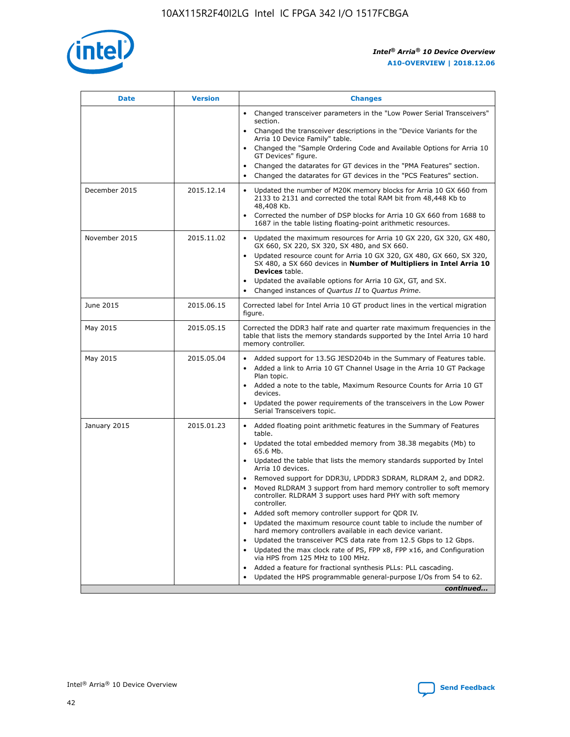

| <b>Date</b>   | <b>Version</b> | <b>Changes</b>                                                                                                                                                               |
|---------------|----------------|------------------------------------------------------------------------------------------------------------------------------------------------------------------------------|
|               |                | • Changed transceiver parameters in the "Low Power Serial Transceivers"<br>section.                                                                                          |
|               |                | Changed the transceiver descriptions in the "Device Variants for the<br>Arria 10 Device Family" table.                                                                       |
|               |                | Changed the "Sample Ordering Code and Available Options for Arria 10<br>GT Devices" figure.                                                                                  |
|               |                | Changed the datarates for GT devices in the "PMA Features" section.                                                                                                          |
|               |                | Changed the datarates for GT devices in the "PCS Features" section.                                                                                                          |
| December 2015 | 2015.12.14     | Updated the number of M20K memory blocks for Arria 10 GX 660 from<br>2133 to 2131 and corrected the total RAM bit from 48,448 Kb to<br>48,408 Kb.                            |
|               |                | Corrected the number of DSP blocks for Arria 10 GX 660 from 1688 to<br>$\bullet$<br>1687 in the table listing floating-point arithmetic resources.                           |
| November 2015 | 2015.11.02     | Updated the maximum resources for Arria 10 GX 220, GX 320, GX 480,<br>GX 660, SX 220, SX 320, SX 480, and SX 660.                                                            |
|               |                | • Updated resource count for Arria 10 GX 320, GX 480, GX 660, SX 320,<br>SX 480, a SX 660 devices in Number of Multipliers in Intel Arria 10<br><b>Devices</b> table.        |
|               |                | Updated the available options for Arria 10 GX, GT, and SX.                                                                                                                   |
|               |                | Changed instances of Quartus II to Quartus Prime.<br>$\bullet$                                                                                                               |
| June 2015     | 2015.06.15     | Corrected label for Intel Arria 10 GT product lines in the vertical migration<br>figure.                                                                                     |
| May 2015      | 2015.05.15     | Corrected the DDR3 half rate and quarter rate maximum frequencies in the<br>table that lists the memory standards supported by the Intel Arria 10 hard<br>memory controller. |
| May 2015      | 2015.05.04     | • Added support for 13.5G JESD204b in the Summary of Features table.<br>Added a link to Arria 10 GT Channel Usage in the Arria 10 GT Package<br>$\bullet$<br>Plan topic.     |
|               |                | • Added a note to the table, Maximum Resource Counts for Arria 10 GT<br>devices.                                                                                             |
|               |                | • Updated the power requirements of the transceivers in the Low Power<br>Serial Transceivers topic.                                                                          |
| January 2015  | 2015.01.23     | • Added floating point arithmetic features in the Summary of Features<br>table.                                                                                              |
|               |                | • Updated the total embedded memory from 38.38 megabits (Mb) to<br>65.6 Mb.                                                                                                  |
|               |                | • Updated the table that lists the memory standards supported by Intel<br>Arria 10 devices.                                                                                  |
|               |                | Removed support for DDR3U, LPDDR3 SDRAM, RLDRAM 2, and DDR2.                                                                                                                 |
|               |                | Moved RLDRAM 3 support from hard memory controller to soft memory<br>controller. RLDRAM 3 support uses hard PHY with soft memory<br>controller.                              |
|               |                | Added soft memory controller support for QDR IV.<br>$\bullet$                                                                                                                |
|               |                | Updated the maximum resource count table to include the number of<br>$\bullet$<br>hard memory controllers available in each device variant.                                  |
|               |                | Updated the transceiver PCS data rate from 12.5 Gbps to 12 Gbps.<br>$\bullet$                                                                                                |
|               |                | Updated the max clock rate of PS, FPP x8, FPP x16, and Configuration<br>via HPS from 125 MHz to 100 MHz.                                                                     |
|               |                | Added a feature for fractional synthesis PLLs: PLL cascading.<br>$\bullet$                                                                                                   |
|               |                | Updated the HPS programmable general-purpose I/Os from 54 to 62.                                                                                                             |
|               |                | continued                                                                                                                                                                    |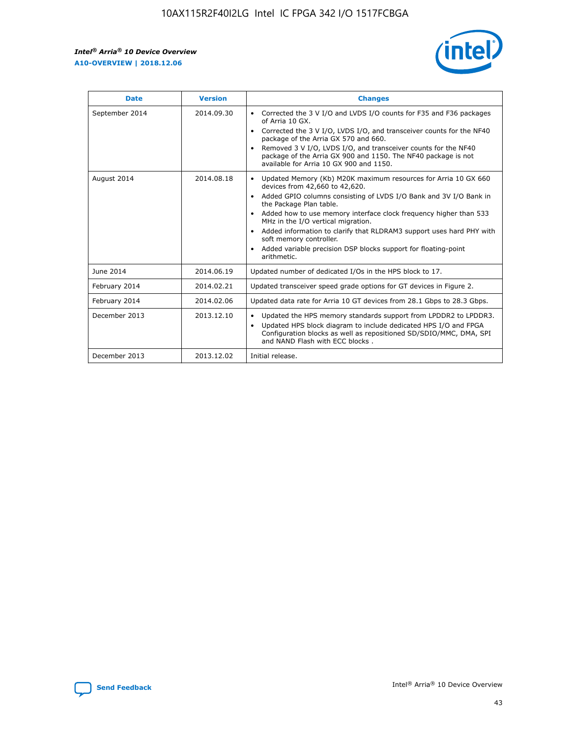r



| <b>Date</b>    | <b>Version</b> | <b>Changes</b>                                                                                                                                                                                                                                                                                                                                                                                                                                                                                                                                      |
|----------------|----------------|-----------------------------------------------------------------------------------------------------------------------------------------------------------------------------------------------------------------------------------------------------------------------------------------------------------------------------------------------------------------------------------------------------------------------------------------------------------------------------------------------------------------------------------------------------|
| September 2014 | 2014.09.30     | Corrected the 3 V I/O and LVDS I/O counts for F35 and F36 packages<br>$\bullet$<br>of Arria 10 GX.<br>Corrected the 3 V I/O, LVDS I/O, and transceiver counts for the NF40<br>$\bullet$<br>package of the Arria GX 570 and 660.<br>Removed 3 V I/O, LVDS I/O, and transceiver counts for the NF40<br>package of the Arria GX 900 and 1150. The NF40 package is not<br>available for Arria 10 GX 900 and 1150.                                                                                                                                       |
| August 2014    | 2014.08.18     | Updated Memory (Kb) M20K maximum resources for Arria 10 GX 660<br>devices from 42,660 to 42,620.<br>Added GPIO columns consisting of LVDS I/O Bank and 3V I/O Bank in<br>$\bullet$<br>the Package Plan table.<br>Added how to use memory interface clock frequency higher than 533<br>$\bullet$<br>MHz in the I/O vertical migration.<br>Added information to clarify that RLDRAM3 support uses hard PHY with<br>$\bullet$<br>soft memory controller.<br>Added variable precision DSP blocks support for floating-point<br>$\bullet$<br>arithmetic. |
| June 2014      | 2014.06.19     | Updated number of dedicated I/Os in the HPS block to 17.                                                                                                                                                                                                                                                                                                                                                                                                                                                                                            |
| February 2014  | 2014.02.21     | Updated transceiver speed grade options for GT devices in Figure 2.                                                                                                                                                                                                                                                                                                                                                                                                                                                                                 |
| February 2014  | 2014.02.06     | Updated data rate for Arria 10 GT devices from 28.1 Gbps to 28.3 Gbps.                                                                                                                                                                                                                                                                                                                                                                                                                                                                              |
| December 2013  | 2013.12.10     | Updated the HPS memory standards support from LPDDR2 to LPDDR3.<br>Updated HPS block diagram to include dedicated HPS I/O and FPGA<br>$\bullet$<br>Configuration blocks as well as repositioned SD/SDIO/MMC, DMA, SPI<br>and NAND Flash with ECC blocks.                                                                                                                                                                                                                                                                                            |
| December 2013  | 2013.12.02     | Initial release.                                                                                                                                                                                                                                                                                                                                                                                                                                                                                                                                    |